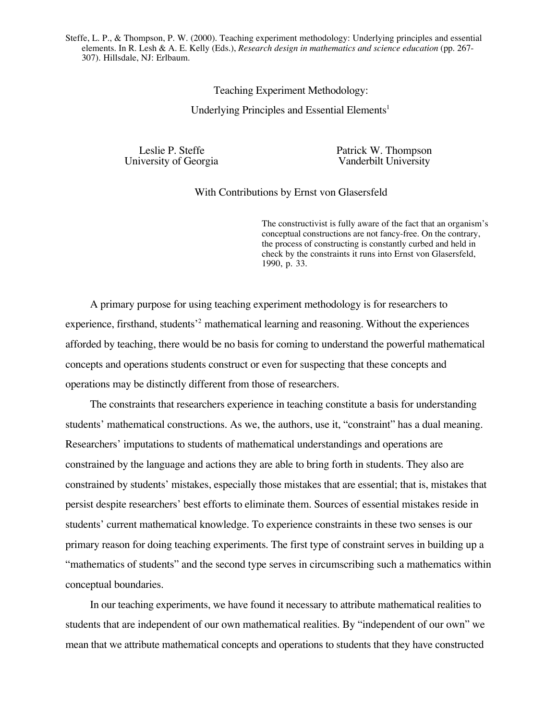Steffe, L. P., & Thompson, P. W. (2000). Teaching experiment methodology: Underlying principles and essential elements. In R. Lesh & A. E. Kelly (Eds.), *Research design in mathematics and science education* (pp. 267- 307). Hillsdale, NJ: Erlbaum.

## Teaching Experiment Methodology:

#### Underlying Principles and Essential Elements<sup>1</sup>

University of Georgia

Leslie P. Steffe Patrick W. Thompson<br>
Vanderbilt University<br>
Vanderbilt University

## With Contributions by Ernst von Glasersfeld

The constructivist is fully aware of the fact that an organism's conceptual constructions are not fancy-free. On the contrary, the process of constructing is constantly curbed and held in check by the constraints it runs into Ernst von Glasersfeld, 1990, p. 33.

A primary purpose for using teaching experiment methodology is for researchers to experience, firsthand, students<sup>,2</sup> mathematical learning and reasoning. Without the experiences afforded by teaching, there would be no basis for coming to understand the powerful mathematical concepts and operations students construct or even for suspecting that these concepts and operations may be distinctly different from those of researchers.

The constraints that researchers experience in teaching constitute a basis for understanding students' mathematical constructions. As we, the authors, use it, "constraint" has a dual meaning. Researchers' imputations to students of mathematical understandings and operations are constrained by the language and actions they are able to bring forth in students. They also are constrained by students' mistakes, especially those mistakes that are essential; that is, mistakes that persist despite researchers' best efforts to eliminate them. Sources of essential mistakes reside in students' current mathematical knowledge. To experience constraints in these two senses is our primary reason for doing teaching experiments. The first type of constraint serves in building up a "mathematics of students" and the second type serves in circumscribing such a mathematics within conceptual boundaries.

In our teaching experiments, we have found it necessary to attribute mathematical realities to students that are independent of our own mathematical realities. By "independent of our own" we mean that we attribute mathematical concepts and operations to students that they have constructed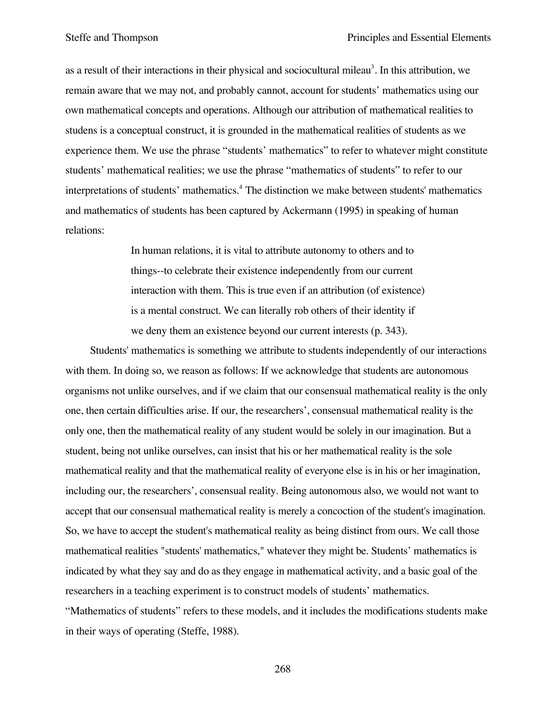as a result of their interactions in their physical and sociocultural mileau<sup>3</sup>. In this attribution, we remain aware that we may not, and probably cannot, account for students' mathematics using our own mathematical concepts and operations. Although our attribution of mathematical realities to studens is a conceptual construct, it is grounded in the mathematical realities of students as we experience them. We use the phrase "students' mathematics" to refer to whatever might constitute students' mathematical realities; we use the phrase "mathematics of students" to refer to our interpretations of students' mathematics.<sup>4</sup> The distinction we make between students' mathematics and mathematics of students has been captured by Ackermann (1995) in speaking of human relations:

> In human relations, it is vital to attribute autonomy to others and to things--to celebrate their existence independently from our current interaction with them. This is true even if an attribution (of existence) is a mental construct. We can literally rob others of their identity if we deny them an existence beyond our current interests (p. 343).

Students' mathematics is something we attribute to students independently of our interactions with them. In doing so, we reason as follows: If we acknowledge that students are autonomous organisms not unlike ourselves, and if we claim that our consensual mathematical reality is the only one, then certain difficulties arise. If our, the researchers', consensual mathematical reality is the only one, then the mathematical reality of any student would be solely in our imagination. But a student, being not unlike ourselves, can insist that his or her mathematical reality is the sole mathematical reality and that the mathematical reality of everyone else is in his or her imagination, including our, the researchers', consensual reality. Being autonomous also, we would not want to accept that our consensual mathematical reality is merely a concoction of the student's imagination. So, we have to accept the student's mathematical reality as being distinct from ours. We call those mathematical realities "students' mathematics," whatever they might be. Students' mathematics is indicated by what they say and do as they engage in mathematical activity, and a basic goal of the researchers in a teaching experiment is to construct models of students' mathematics. "Mathematics of students" refers to these models, and it includes the modifications students make in their ways of operating (Steffe, 1988).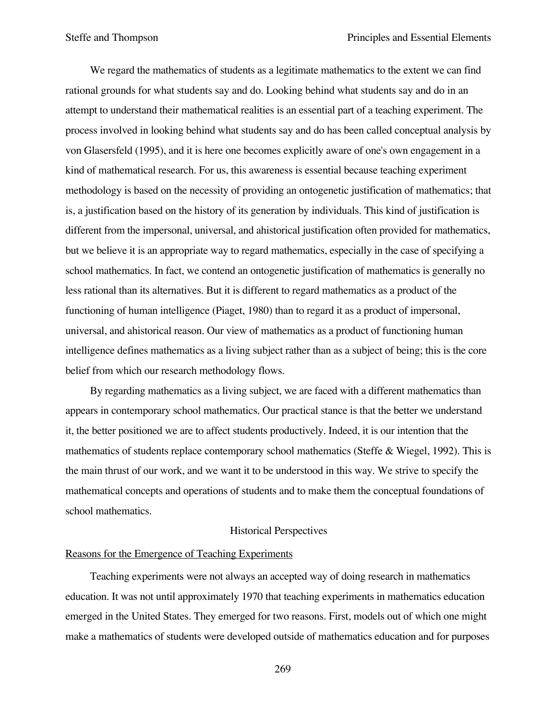We regard the mathematics of students as a legitimate mathematics to the extent we can find rational grounds for what students say and do. Looking behind what students say and do in an attempt to understand their mathematical realities is an essential part of a teaching experiment. The process involved in looking behind what students say and do has been called conceptual analysis by von Glasersfeld (1995), and it is here one becomes explicitly aware of one's own engagement in a kind of mathematical research. For us, this awareness is essential because teaching experiment methodology is based on the necessity of providing an ontogenetic justification of mathematics; that is, a justification based on the history of its generation by individuals. This kind of justification is different from the impersonal, universal, and ahistorical justification often provided for mathematics, but we believe it is an appropriate way to regard mathematics, especially in the case of specifying a school mathematics. In fact, we contend an ontogenetic justification of mathematics is generally no less rational than its alternatives. But it is different to regard mathematics as a product of the functioning of human intelligence (Piaget, 1980) than to regard it as a product of impersonal, universal, and ahistorical reason. Our view of mathematics as a product of functioning human intelligence defines mathematics as a living subject rather than as a subject of being; this is the core belief from which our research methodology flows.

By regarding mathematics as a living subject, we are faced with a different mathematics than appears in contemporary school mathematics. Our practical stance is that the better we understand it, the better positioned we are to affect students productively. Indeed, it is our intention that the mathematics of students replace contemporary school mathematics (Steffe & Wiegel, 1992). This is the main thrust of our work, and we want it to be understood in this way. We strive to specify the mathematical concepts and operations of students and to make them the conceptual foundations of school mathematics.

## Historical Perspectives

## Reasons for the Emergence of Teaching Experiments

Teaching experiments were not always an accepted way of doing research in mathematics education. It was not until approximately 1970 that teaching experiments in mathematics education emerged in the United States. They emerged for two reasons. First, models out of which one might make a mathematics of students were developed outside of mathematics education and for purposes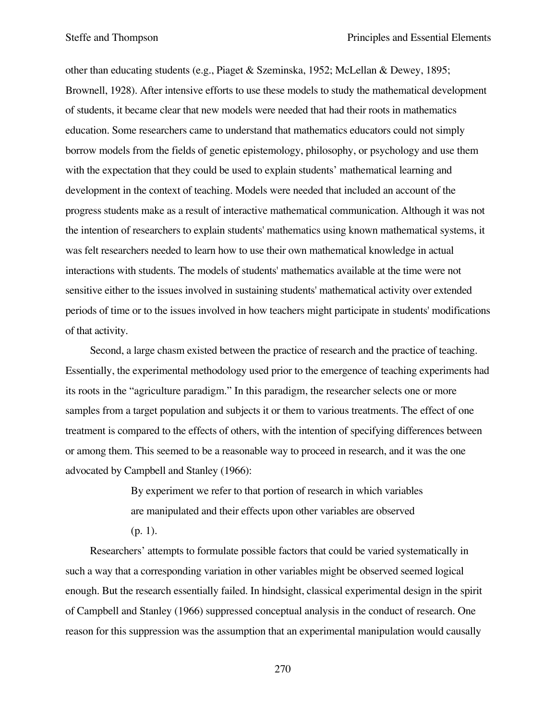other than educating students (e.g., Piaget & Szeminska, 1952; McLellan & Dewey, 1895; Brownell, 1928). After intensive efforts to use these models to study the mathematical development of students, it became clear that new models were needed that had their roots in mathematics education. Some researchers came to understand that mathematics educators could not simply borrow models from the fields of genetic epistemology, philosophy, or psychology and use them with the expectation that they could be used to explain students' mathematical learning and development in the context of teaching. Models were needed that included an account of the progress students make as a result of interactive mathematical communication. Although it was not the intention of researchers to explain students' mathematics using known mathematical systems, it was felt researchers needed to learn how to use their own mathematical knowledge in actual interactions with students. The models of students' mathematics available at the time were not sensitive either to the issues involved in sustaining students' mathematical activity over extended periods of time or to the issues involved in how teachers might participate in students' modifications of that activity.

Second, a large chasm existed between the practice of research and the practice of teaching. Essentially, the experimental methodology used prior to the emergence of teaching experiments had its roots in the "agriculture paradigm." In this paradigm, the researcher selects one or more samples from a target population and subjects it or them to various treatments. The effect of one treatment is compared to the effects of others, with the intention of specifying differences between or among them. This seemed to be a reasonable way to proceed in research, and it was the one advocated by Campbell and Stanley (1966):

> By experiment we refer to that portion of research in which variables are manipulated and their effects upon other variables are observed

(p. 1).

Researchers' attempts to formulate possible factors that could be varied systematically in such a way that a corresponding variation in other variables might be observed seemed logical enough. But the research essentially failed. In hindsight, classical experimental design in the spirit of Campbell and Stanley (1966) suppressed conceptual analysis in the conduct of research. One reason for this suppression was the assumption that an experimental manipulation would causally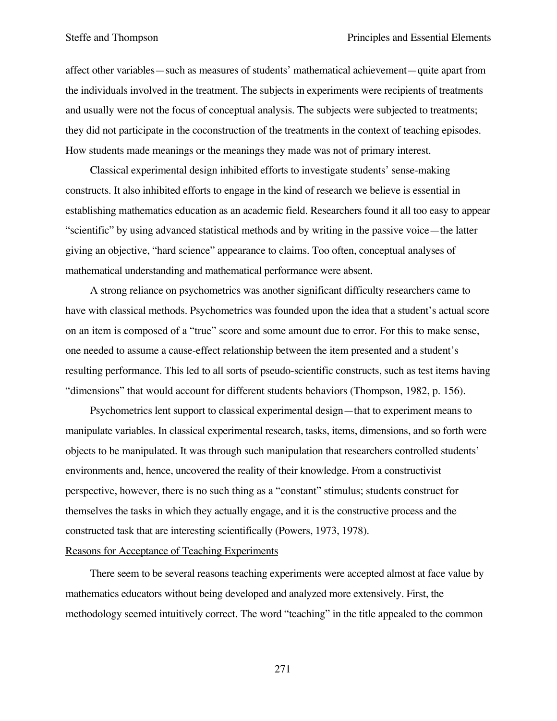affect other variables—such as measures of students' mathematical achievement—quite apart from the individuals involved in the treatment. The subjects in experiments were recipients of treatments and usually were not the focus of conceptual analysis. The subjects were subjected to treatments; they did not participate in the coconstruction of the treatments in the context of teaching episodes. How students made meanings or the meanings they made was not of primary interest.

Classical experimental design inhibited efforts to investigate students' sense-making constructs. It also inhibited efforts to engage in the kind of research we believe is essential in establishing mathematics education as an academic field. Researchers found it all too easy to appear "scientific" by using advanced statistical methods and by writing in the passive voice—the latter giving an objective, "hard science" appearance to claims. Too often, conceptual analyses of mathematical understanding and mathematical performance were absent.

A strong reliance on psychometrics was another significant difficulty researchers came to have with classical methods. Psychometrics was founded upon the idea that a student's actual score on an item is composed of a "true" score and some amount due to error. For this to make sense, one needed to assume a cause-effect relationship between the item presented and a student's resulting performance. This led to all sorts of pseudo-scientific constructs, such as test items having "dimensions" that would account for different students behaviors (Thompson, 1982, p. 156).

Psychometrics lent support to classical experimental design—that to experiment means to manipulate variables. In classical experimental research, tasks, items, dimensions, and so forth were objects to be manipulated. It was through such manipulation that researchers controlled students' environments and, hence, uncovered the reality of their knowledge. From a constructivist perspective, however, there is no such thing as a "constant" stimulus; students construct for themselves the tasks in which they actually engage, and it is the constructive process and the constructed task that are interesting scientifically (Powers, 1973, 1978).

## Reasons for Acceptance of Teaching Experiments

There seem to be several reasons teaching experiments were accepted almost at face value by mathematics educators without being developed and analyzed more extensively. First, the methodology seemed intuitively correct. The word "teaching" in the title appealed to the common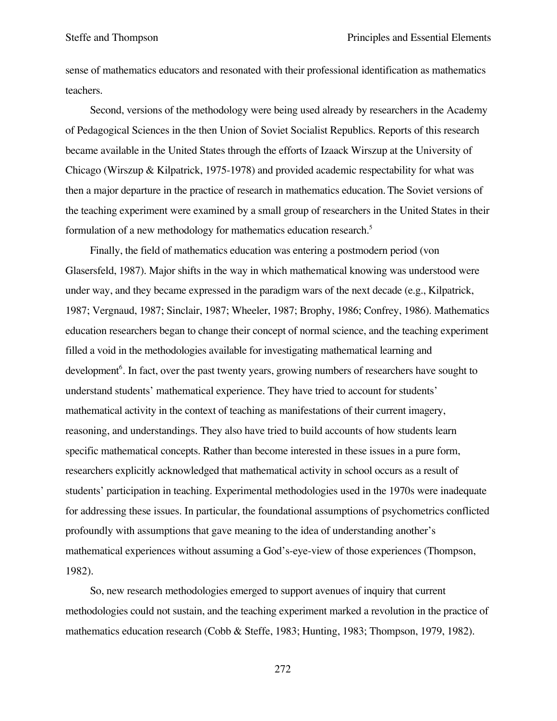sense of mathematics educators and resonated with their professional identification as mathematics teachers.

Second, versions of the methodology were being used already by researchers in the Academy of Pedagogical Sciences in the then Union of Soviet Socialist Republics. Reports of this research became available in the United States through the efforts of Izaack Wirszup at the University of Chicago (Wirszup & Kilpatrick, 1975-1978) and provided academic respectability for what was then a major departure in the practice of research in mathematics education.The Soviet versions of the teaching experiment were examined by a small group of researchers in the United States in their formulation of a new methodology for mathematics education research.<sup>5</sup>

Finally, the field of mathematics education was entering a postmodern period (von Glasersfeld, 1987). Major shifts in the way in which mathematical knowing was understood were under way, and they became expressed in the paradigm wars of the next decade (e.g., Kilpatrick, 1987; Vergnaud, 1987; Sinclair, 1987; Wheeler, 1987; Brophy, 1986; Confrey, 1986). Mathematics education researchers began to change their concept of normal science, and the teaching experiment filled a void in the methodologies available for investigating mathematical learning and development<sup>6</sup>. In fact, over the past twenty years, growing numbers of researchers have sought to understand students' mathematical experience. They have tried to account for students' mathematical activity in the context of teaching as manifestations of their current imagery, reasoning, and understandings. They also have tried to build accounts of how students learn specific mathematical concepts. Rather than become interested in these issues in a pure form, researchers explicitly acknowledged that mathematical activity in school occurs as a result of students' participation in teaching. Experimental methodologies used in the 1970s were inadequate for addressing these issues. In particular, the foundational assumptions of psychometrics conflicted profoundly with assumptions that gave meaning to the idea of understanding another's mathematical experiences without assuming a God's-eye-view of those experiences (Thompson, 1982).

So, new research methodologies emerged to support avenues of inquiry that current methodologies could not sustain, and the teaching experiment marked a revolution in the practice of mathematics education research (Cobb & Steffe, 1983; Hunting, 1983; Thompson, 1979, 1982).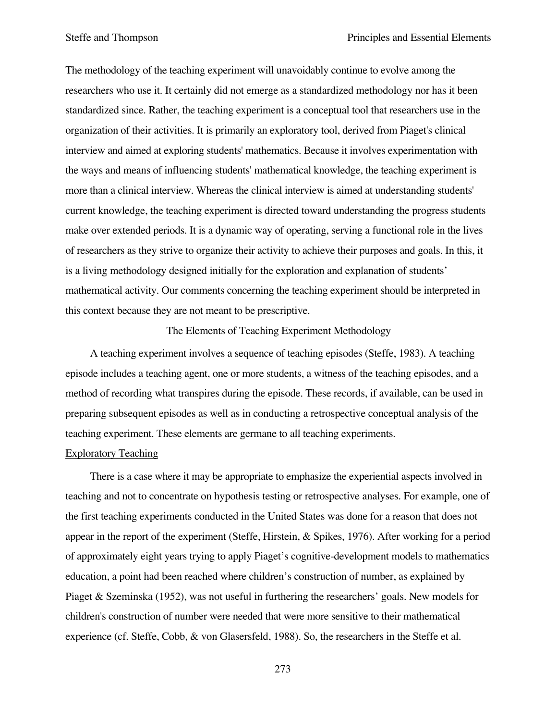The methodology of the teaching experiment will unavoidably continue to evolve among the researchers who use it. It certainly did not emerge as a standardized methodology nor has it been standardized since. Rather, the teaching experiment is a conceptual tool that researchers use in the organization of their activities. It is primarily an exploratory tool, derived from Piaget's clinical interview and aimed at exploring students' mathematics. Because it involves experimentation with the ways and means of influencing students' mathematical knowledge, the teaching experiment is more than a clinical interview. Whereas the clinical interview is aimed at understanding students' current knowledge, the teaching experiment is directed toward understanding the progress students make over extended periods. It is a dynamic way of operating, serving a functional role in the lives of researchers as they strive to organize their activity to achieve their purposes and goals. In this, it is a living methodology designed initially for the exploration and explanation of students' mathematical activity. Our comments concerning the teaching experiment should be interpreted in this context because they are not meant to be prescriptive.

## The Elements of Teaching Experiment Methodology

A teaching experiment involves a sequence of teaching episodes (Steffe, 1983). A teaching episode includes a teaching agent, one or more students, a witness of the teaching episodes, and a method of recording what transpires during the episode. These records, if available, can be used in preparing subsequent episodes as well as in conducting a retrospective conceptual analysis of the teaching experiment. These elements are germane to all teaching experiments.

## Exploratory Teaching

There is a case where it may be appropriate to emphasize the experiential aspects involved in teaching and not to concentrate on hypothesis testing or retrospective analyses. For example, one of the first teaching experiments conducted in the United States was done for a reason that does not appear in the report of the experiment (Steffe, Hirstein, & Spikes, 1976). After working for a period of approximately eight years trying to apply Piaget's cognitive-development models to mathematics education, a point had been reached where children's construction of number, as explained by Piaget & Szeminska (1952), was not useful in furthering the researchers' goals. New models for children's construction of number were needed that were more sensitive to their mathematical experience (cf. Steffe, Cobb, & von Glasersfeld, 1988). So, the researchers in the Steffe et al.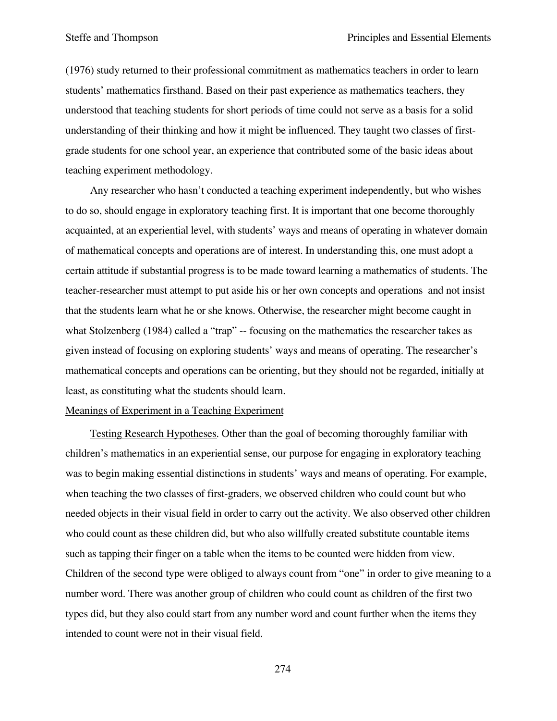(1976) study returned to their professional commitment as mathematics teachers in order to learn students' mathematics firsthand. Based on their past experience as mathematics teachers, they understood that teaching students for short periods of time could not serve as a basis for a solid understanding of their thinking and how it might be influenced. They taught two classes of firstgrade students for one school year, an experience that contributed some of the basic ideas about teaching experiment methodology.

Any researcher who hasn't conducted a teaching experiment independently, but who wishes to do so, should engage in exploratory teaching first. It is important that one become thoroughly acquainted, at an experiential level, with students' ways and means of operating in whatever domain of mathematical concepts and operations are of interest. In understanding this, one must adopt a certain attitude if substantial progress is to be made toward learning a mathematics of students. The teacher-researcher must attempt to put aside his or her own concepts and operations and not insist that the students learn what he or she knows. Otherwise, the researcher might become caught in what Stolzenberg (1984) called a "trap" -- focusing on the mathematics the researcher takes as given instead of focusing on exploring students' ways and means of operating. The researcher's mathematical concepts and operations can be orienting, but they should not be regarded, initially at least, as constituting what the students should learn.

## Meanings of Experiment in a Teaching Experiment

Testing Research Hypotheses. Other than the goal of becoming thoroughly familiar with children's mathematics in an experiential sense, our purpose for engaging in exploratory teaching was to begin making essential distinctions in students' ways and means of operating. For example, when teaching the two classes of first-graders, we observed children who could count but who needed objects in their visual field in order to carry out the activity. We also observed other children who could count as these children did, but who also willfully created substitute countable items such as tapping their finger on a table when the items to be counted were hidden from view. Children of the second type were obliged to always count from "one" in order to give meaning to a number word. There was another group of children who could count as children of the first two types did, but they also could start from any number word and count further when the items they intended to count were not in their visual field.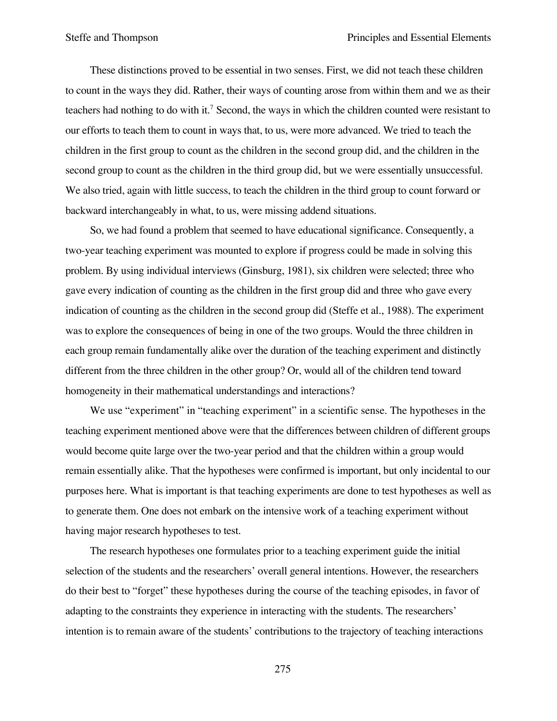These distinctions proved to be essential in two senses. First, we did not teach these children to count in the ways they did. Rather, their ways of counting arose from within them and we as their teachers had nothing to do with it.<sup>7</sup> Second, the ways in which the children counted were resistant to our efforts to teach them to count in ways that, to us, were more advanced. We tried to teach the children in the first group to count as the children in the second group did, and the children in the second group to count as the children in the third group did, but we were essentially unsuccessful. We also tried, again with little success, to teach the children in the third group to count forward or backward interchangeably in what, to us, were missing addend situations.

So, we had found a problem that seemed to have educational significance. Consequently, a two-year teaching experiment was mounted to explore if progress could be made in solving this problem. By using individual interviews (Ginsburg, 1981), six children were selected; three who gave every indication of counting as the children in the first group did and three who gave every indication of counting as the children in the second group did (Steffe et al., 1988). The experiment was to explore the consequences of being in one of the two groups. Would the three children in each group remain fundamentally alike over the duration of the teaching experiment and distinctly different from the three children in the other group? Or, would all of the children tend toward homogeneity in their mathematical understandings and interactions?

We use "experiment" in "teaching experiment" in a scientific sense. The hypotheses in the teaching experiment mentioned above were that the differences between children of different groups would become quite large over the two-year period and that the children within a group would remain essentially alike. That the hypotheses were confirmed is important, but only incidental to our purposes here. What is important is that teaching experiments are done to test hypotheses as well as to generate them. One does not embark on the intensive work of a teaching experiment without having major research hypotheses to test.

The research hypotheses one formulates prior to a teaching experiment guide the initial selection of the students and the researchers' overall general intentions. However, the researchers do their best to "forget" these hypotheses during the course of the teaching episodes, in favor of adapting to the constraints they experience in interacting with the students. The researchers' intention is to remain aware of the students' contributions to the trajectory of teaching interactions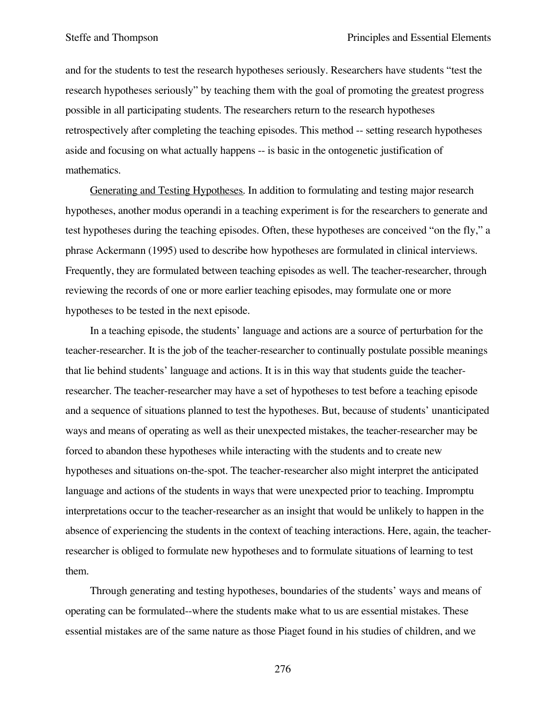and for the students to test the research hypotheses seriously. Researchers have students "test the research hypotheses seriously" by teaching them with the goal of promoting the greatest progress possible in all participating students. The researchers return to the research hypotheses retrospectively after completing the teaching episodes. This method -- setting research hypotheses aside and focusing on what actually happens -- is basic in the ontogenetic justification of mathematics.

Generating and Testing Hypotheses*.* In addition to formulating and testing major research hypotheses, another modus operandi in a teaching experiment is for the researchers to generate and test hypotheses during the teaching episodes. Often, these hypotheses are conceived "on the fly," a phrase Ackermann (1995) used to describe how hypotheses are formulated in clinical interviews. Frequently, they are formulated between teaching episodes as well. The teacher-researcher, through reviewing the records of one or more earlier teaching episodes, may formulate one or more hypotheses to be tested in the next episode.

In a teaching episode, the students' language and actions are a source of perturbation for the teacher-researcher. It is the job of the teacher-researcher to continually postulate possible meanings that lie behind students' language and actions. It is in this way that students guide the teacherresearcher. The teacher-researcher may have a set of hypotheses to test before a teaching episode and a sequence of situations planned to test the hypotheses. But, because of students' unanticipated ways and means of operating as well as their unexpected mistakes, the teacher-researcher may be forced to abandon these hypotheses while interacting with the students and to create new hypotheses and situations on-the-spot. The teacher-researcher also might interpret the anticipated language and actions of the students in ways that were unexpected prior to teaching. Impromptu interpretations occur to the teacher-researcher as an insight that would be unlikely to happen in the absence of experiencing the students in the context of teaching interactions. Here, again, the teacherresearcher is obliged to formulate new hypotheses and to formulate situations of learning to test them.

Through generating and testing hypotheses, boundaries of the students' ways and means of operating can be formulated--where the students make what to us are essential mistakes. These essential mistakes are of the same nature as those Piaget found in his studies of children, and we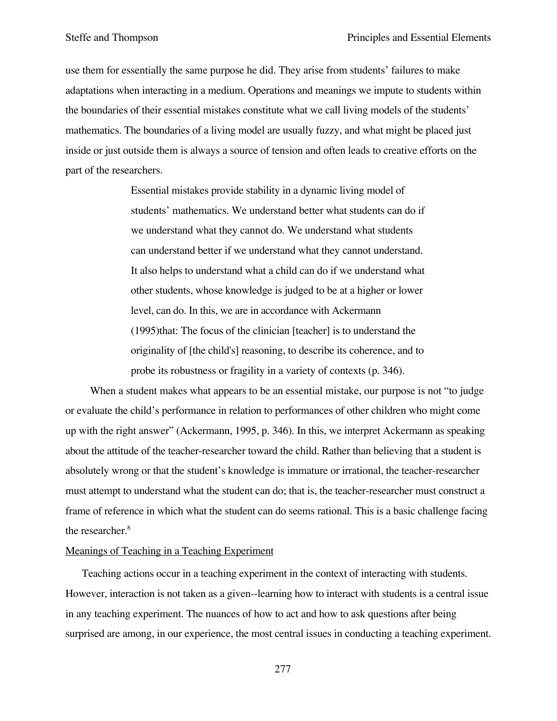use them for essentially the same purpose he did. They arise from students' failures to make adaptations when interacting in a medium. Operations and meanings we impute to students within the boundaries of their essential mistakes constitute what we call living models of the students' mathematics. The boundaries of a living model are usually fuzzy, and what might be placed just inside or just outside them is always a source of tension and often leads to creative efforts on the part of the researchers.

> Essential mistakes provide stability in a dynamic living model of students' mathematics. We understand better what students can do if we understand what they cannot do. We understand what students can understand better if we understand what they cannot understand. It also helps to understand what a child can do if we understand what other students, whose knowledge is judged to be at a higher or lower level, can do. In this, we are in accordance with Ackermann (1995)that: The focus of the clinician [teacher] is to understand the originality of [the child's] reasoning, to describe its coherence, and to probe its robustness or fragility in a variety of contexts (p. 346).

When a student makes what appears to be an essential mistake, our purpose is not "to judge or evaluate the child's performance in relation to performances of other children who might come up with the right answer" (Ackermann, 1995, p. 346). In this, we interpret Ackermann as speaking about the attitude of the teacher-researcher toward the child. Rather than believing that a student is absolutely wrong or that the student's knowledge is immature or irrational, the teacher-researcher must attempt to understand what the student can do; that is, the teacher-researcher must construct a frame of reference in which what the student can do seems rational. This is a basic challenge facing the researcher.<sup>8</sup>

## Meanings of Teaching in a Teaching Experiment

Teaching actions occur in a teaching experiment in the context of interacting with students. However, interaction is not taken as a given--learning how to interact with students is a central issue in any teaching experiment. The nuances of how to act and how to ask questions after being surprised are among, in our experience, the most central issues in conducting a teaching experiment.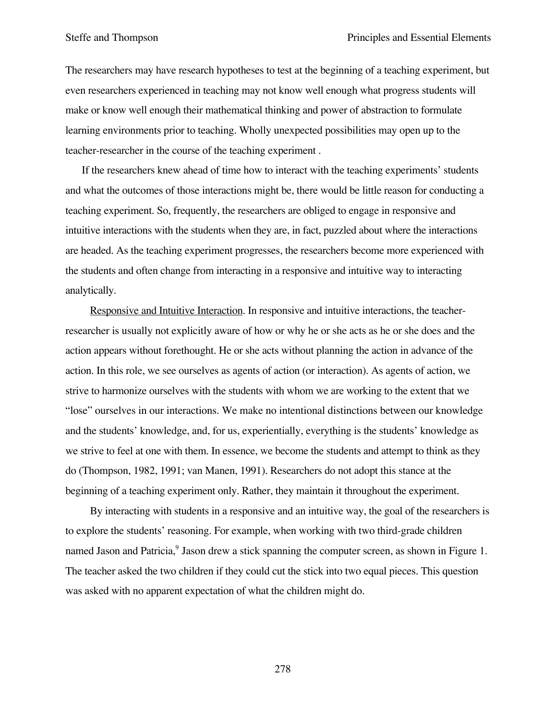The researchers may have research hypotheses to test at the beginning of a teaching experiment, but even researchers experienced in teaching may not know well enough what progress students will make or know well enough their mathematical thinking and power of abstraction to formulate learning environments prior to teaching. Wholly unexpected possibilities may open up to the teacher-researcher in the course of the teaching experiment .

If the researchers knew ahead of time how to interact with the teaching experiments' students and what the outcomes of those interactions might be, there would be little reason for conducting a teaching experiment. So, frequently, the researchers are obliged to engage in responsive and intuitive interactions with the students when they are, in fact, puzzled about where the interactions are headed. As the teaching experiment progresses, the researchers become more experienced with the students and often change from interacting in a responsive and intuitive way to interacting analytically.

Responsive and Intuitive Interaction. In responsive and intuitive interactions, the teacherresearcher is usually not explicitly aware of how or why he or she acts as he or she does and the action appears without forethought. He or she acts without planning the action in advance of the action. In this role, we see ourselves as agents of action (or interaction). As agents of action, we strive to harmonize ourselves with the students with whom we are working to the extent that we "lose" ourselves in our interactions. We make no intentional distinctions between our knowledge and the students' knowledge, and, for us, experientially, everything is the students' knowledge as we strive to feel at one with them. In essence, we become the students and attempt to think as they do (Thompson, 1982, 1991; van Manen, 1991). Researchers do not adopt this stance at the beginning of a teaching experiment only. Rather, they maintain it throughout the experiment.

By interacting with students in a responsive and an intuitive way, the goal of the researchers is to explore the students' reasoning. For example, when working with two third-grade children named Jason and Patricia,<sup>9</sup> Jason drew a stick spanning the computer screen, as shown in Figure 1. The teacher asked the two children if they could cut the stick into two equal pieces. This question was asked with no apparent expectation of what the children might do.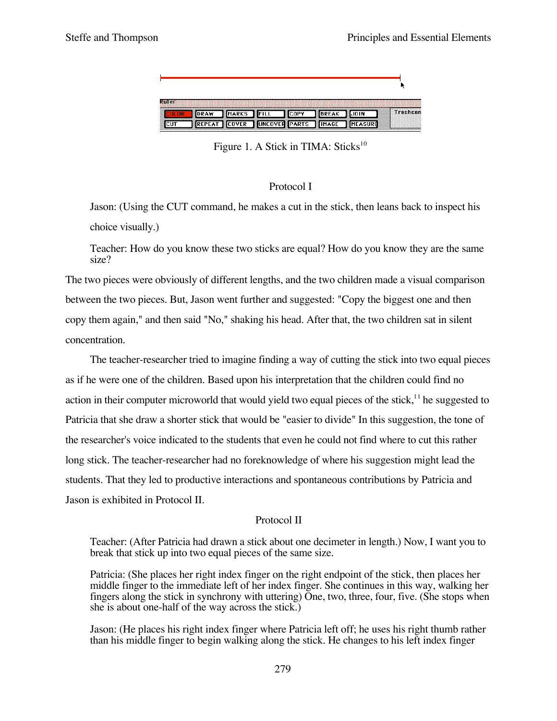

Figure 1. A Stick in TIMA:  $Sticks<sup>10</sup>$ 

## Protocol I

Jason: (Using the CUT command, he makes a cut in the stick, then leans back to inspect his choice visually.)

Teacher: How do you know these two sticks are equal? How do you know they are the same size?

The two pieces were obviously of different lengths, and the two children made a visual comparison between the two pieces. But, Jason went further and suggested: "Copy the biggest one and then copy them again," and then said "No," shaking his head. After that, the two children sat in silent concentration.

The teacher-researcher tried to imagine finding a way of cutting the stick into two equal pieces as if he were one of the children. Based upon his interpretation that the children could find no action in their computer microworld that would yield two equal pieces of the stick,<sup>11</sup> he suggested to Patricia that she draw a shorter stick that would be "easier to divide" In this suggestion, the tone of the researcher's voice indicated to the students that even he could not find where to cut this rather long stick. The teacher-researcher had no foreknowledge of where his suggestion might lead the students. That they led to productive interactions and spontaneous contributions by Patricia and Jason is exhibited in Protocol II.

# Protocol II

Teacher: (After Patricia had drawn a stick about one decimeter in length.) Now, I want you to break that stick up into two equal pieces of the same size.

Patricia: (She places her right index finger on the right endpoint of the stick, then places her middle finger to the immediate left of her index finger. She continues in this way, walking her fingers along the stick in synchrony with uttering) One, two, three, four, five. (She stops when she is about one-half of the way across the stick.)

Jason: (He places his right index finger where Patricia left off; he uses his right thumb rather than his middle finger to begin walking along the stick. He changes to his left index finger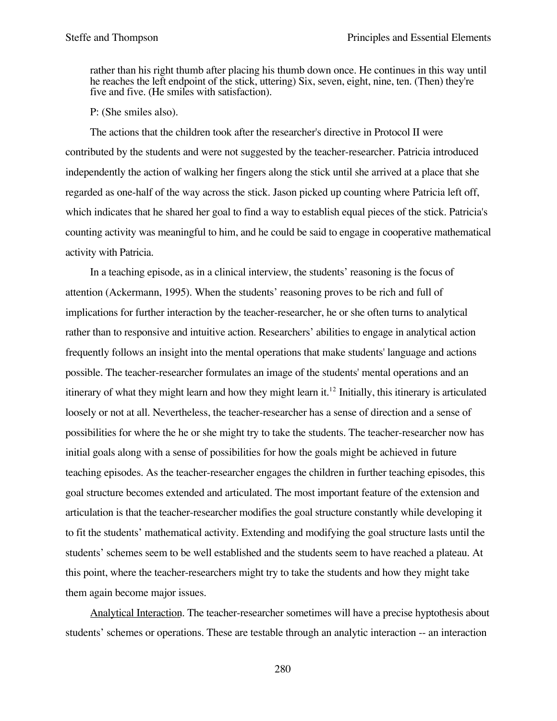rather than his right thumb after placing his thumb down once. He continues in this way until he reaches the left endpoint of the stick, uttering) Six, seven, eight, nine, ten. (Then) they're five and five. (He smiles with satisfaction).

P: (She smiles also).

The actions that the children took after the researcher's directive in Protocol II were contributed by the students and were not suggested by the teacher-researcher. Patricia introduced independently the action of walking her fingers along the stick until she arrived at a place that she regarded as one-half of the way across the stick. Jason picked up counting where Patricia left off, which indicates that he shared her goal to find a way to establish equal pieces of the stick. Patricia's counting activity was meaningful to him, and he could be said to engage in cooperative mathematical activity with Patricia.

In a teaching episode, as in a clinical interview, the students' reasoning is the focus of attention (Ackermann, 1995). When the students' reasoning proves to be rich and full of implications for further interaction by the teacher-researcher, he or she often turns to analytical rather than to responsive and intuitive action. Researchers' abilities to engage in analytical action frequently follows an insight into the mental operations that make students' language and actions possible. The teacher-researcher formulates an image of the students' mental operations and an itinerary of what they might learn and how they might learn it.<sup>12</sup> Initially, this itinerary is articulated loosely or not at all. Nevertheless, the teacher-researcher has a sense of direction and a sense of possibilities for where the he or she might try to take the students. The teacher-researcher now has initial goals along with a sense of possibilities for how the goals might be achieved in future teaching episodes. As the teacher-researcher engages the children in further teaching episodes, this goal structure becomes extended and articulated. The most important feature of the extension and articulation is that the teacher-researcher modifies the goal structure constantly while developing it to fit the students' mathematical activity. Extending and modifying the goal structure lasts until the students' schemes seem to be well established and the students seem to have reached a plateau. At this point, where the teacher-researchers might try to take the students and how they might take them again become major issues.

Analytical Interaction. The teacher-researcher sometimes will have a precise hyptothesis about students' schemes or operations. These are testable through an analytic interaction -- an interaction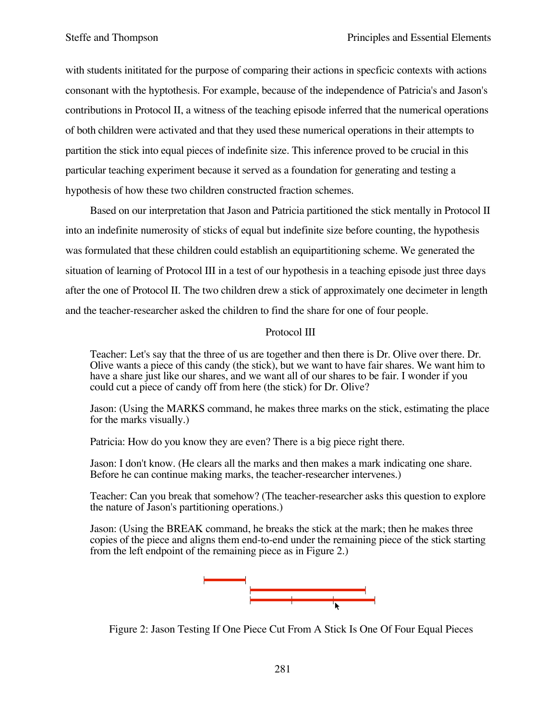with students inititated for the purpose of comparing their actions in specficic contexts with actions consonant with the hyptothesis. For example, because of the independence of Patricia's and Jason's contributions in Protocol II, a witness of the teaching episode inferred that the numerical operations of both children were activated and that they used these numerical operations in their attempts to partition the stick into equal pieces of indefinite size. This inference proved to be crucial in this particular teaching experiment because it served as a foundation for generating and testing a hypothesis of how these two children constructed fraction schemes.

Based on our interpretation that Jason and Patricia partitioned the stick mentally in Protocol II into an indefinite numerosity of sticks of equal but indefinite size before counting, the hypothesis was formulated that these children could establish an equipartitioning scheme. We generated the situation of learning of Protocol III in a test of our hypothesis in a teaching episode just three days after the one of Protocol II. The two children drew a stick of approximately one decimeter in length and the teacher-researcher asked the children to find the share for one of four people.

# Protocol III

Teacher: Let's say that the three of us are together and then there is Dr. Olive over there. Dr. Olive wants a piece of this candy (the stick), but we want to have fair shares. We want him to have a share just like our shares, and we want all of our shares to be fair. I wonder if you could cut a piece of candy off from here (the stick) for Dr. Olive?

Jason: (Using the MARKS command, he makes three marks on the stick, estimating the place for the marks visually.)

Patricia: How do you know they are even? There is a big piece right there.

Jason: I don't know. (He clears all the marks and then makes a mark indicating one share. Before he can continue making marks, the teacher-researcher intervenes.)

Teacher: Can you break that somehow? (The teacher-researcher asks this question to explore the nature of Jason's partitioning operations.)

Jason: (Using the BREAK command, he breaks the stick at the mark; then he makes three copies of the piece and aligns them end-to-end under the remaining piece of the stick starting from the left endpoint of the remaining piece as in Figure 2.)



Figure 2: Jason Testing If One Piece Cut From A Stick Is One Of Four Equal Pieces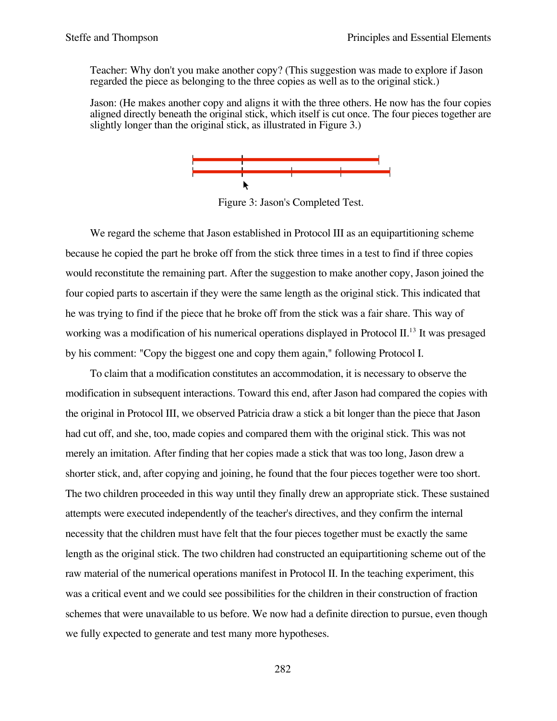Teacher: Why don't you make another copy? (This suggestion was made to explore if Jason regarded the piece as belonging to the three copies as well as to the original stick.)

Jason: (He makes another copy and aligns it with the three others. He now has the four copies aligned directly beneath the original stick, which itself is cut once. The four pieces together are slightly longer than the original stick, as illustrated in Figure 3.)



Figure 3: Jason's Completed Test.

We regard the scheme that Jason established in Protocol III as an equipartitioning scheme because he copied the part he broke off from the stick three times in a test to find if three copies would reconstitute the remaining part. After the suggestion to make another copy, Jason joined the four copied parts to ascertain if they were the same length as the original stick. This indicated that he was trying to find if the piece that he broke off from the stick was a fair share. This way of working was a modification of his numerical operations displayed in Protocol II.<sup>13</sup> It was presaged by his comment: "Copy the biggest one and copy them again," following Protocol I.

To claim that a modification constitutes an accommodation, it is necessary to observe the modification in subsequent interactions. Toward this end, after Jason had compared the copies with the original in Protocol III, we observed Patricia draw a stick a bit longer than the piece that Jason had cut off, and she, too, made copies and compared them with the original stick. This was not merely an imitation. After finding that her copies made a stick that was too long, Jason drew a shorter stick, and, after copying and joining, he found that the four pieces together were too short. The two children proceeded in this way until they finally drew an appropriate stick. These sustained attempts were executed independently of the teacher's directives, and they confirm the internal necessity that the children must have felt that the four pieces together must be exactly the same length as the original stick. The two children had constructed an equipartitioning scheme out of the raw material of the numerical operations manifest in Protocol II. In the teaching experiment, this was a critical event and we could see possibilities for the children in their construction of fraction schemes that were unavailable to us before. We now had a definite direction to pursue, even though we fully expected to generate and test many more hypotheses.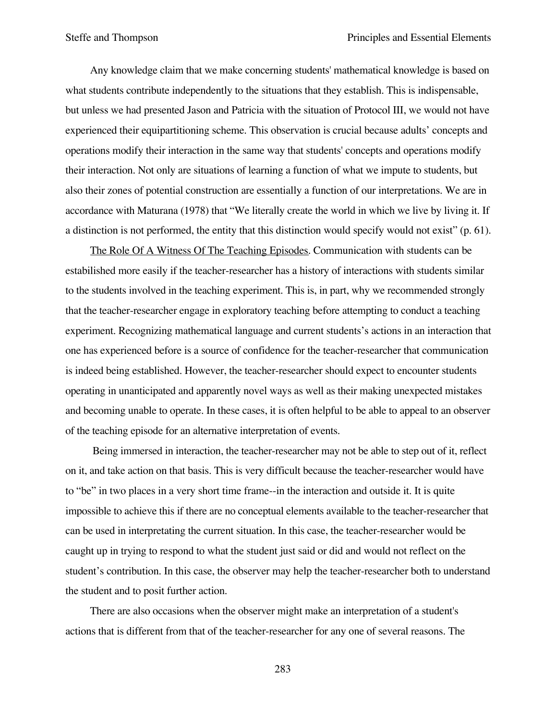Any knowledge claim that we make concerning students' mathematical knowledge is based on what students contribute independently to the situations that they establish. This is indispensable, but unless we had presented Jason and Patricia with the situation of Protocol III, we would not have experienced their equipartitioning scheme. This observation is crucial because adults' concepts and operations modify their interaction in the same way that students' concepts and operations modify their interaction. Not only are situations of learning a function of what we impute to students, but also their zones of potential construction are essentially a function of our interpretations. We are in accordance with Maturana (1978) that "We literally create the world in which we live by living it. If a distinction is not performed, the entity that this distinction would specify would not exist" (p. 61).

The Role Of A Witness Of The Teaching Episodes. Communication with students can be estabilished more easily if the teacher-researcher has a history of interactions with students similar to the students involved in the teaching experiment. This is, in part, why we recommended strongly that the teacher-researcher engage in exploratory teaching before attempting to conduct a teaching experiment. Recognizing mathematical language and current students's actions in an interaction that one has experienced before is a source of confidence for the teacher-researcher that communication is indeed being established. However, the teacher-researcher should expect to encounter students operating in unanticipated and apparently novel ways as well as their making unexpected mistakes and becoming unable to operate. In these cases, it is often helpful to be able to appeal to an observer of the teaching episode for an alternative interpretation of events.

 Being immersed in interaction, the teacher-researcher may not be able to step out of it, reflect on it, and take action on that basis. This is very difficult because the teacher-researcher would have to "be" in two places in a very short time frame--in the interaction and outside it. It is quite impossible to achieve this if there are no conceptual elements available to the teacher-researcher that can be used in interpretating the current situation. In this case, the teacher-researcher would be caught up in trying to respond to what the student just said or did and would not reflect on the student's contribution. In this case, the observer may help the teacher-researcher both to understand the student and to posit further action.

There are also occasions when the observer might make an interpretation of a student's actions that is different from that of the teacher-researcher for any one of several reasons. The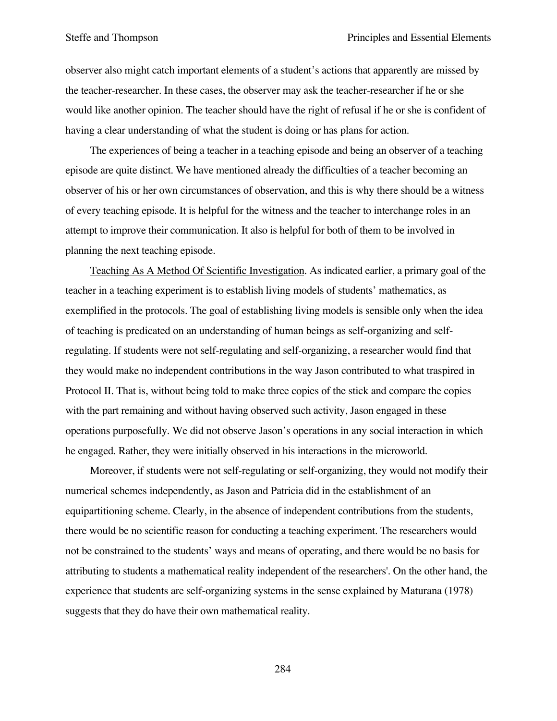observer also might catch important elements of a student's actions that apparently are missed by the teacher-researcher. In these cases, the observer may ask the teacher-researcher if he or she would like another opinion. The teacher should have the right of refusal if he or she is confident of having a clear understanding of what the student is doing or has plans for action.

The experiences of being a teacher in a teaching episode and being an observer of a teaching episode are quite distinct. We have mentioned already the difficulties of a teacher becoming an observer of his or her own circumstances of observation, and this is why there should be a witness of every teaching episode. It is helpful for the witness and the teacher to interchange roles in an attempt to improve their communication. It also is helpful for both of them to be involved in planning the next teaching episode.

Teaching As A Method Of Scientific Investigation. As indicated earlier, a primary goal of the teacher in a teaching experiment is to establish living models of students' mathematics, as exemplified in the protocols. The goal of establishing living models is sensible only when the idea of teaching is predicated on an understanding of human beings as self-organizing and selfregulating. If students were not self-regulating and self-organizing, a researcher would find that they would make no independent contributions in the way Jason contributed to what traspired in Protocol II. That is, without being told to make three copies of the stick and compare the copies with the part remaining and without having observed such activity, Jason engaged in these operations purposefully. We did not observe Jason's operations in any social interaction in which he engaged. Rather, they were initially observed in his interactions in the microworld.

Moreover, if students were not self-regulating or self-organizing, they would not modify their numerical schemes independently, as Jason and Patricia did in the establishment of an equipartitioning scheme. Clearly, in the absence of independent contributions from the students, there would be no scientific reason for conducting a teaching experiment. The researchers would not be constrained to the students' ways and means of operating, and there would be no basis for attributing to students a mathematical reality independent of the researchers'. On the other hand, the experience that students are self-organizing systems in the sense explained by Maturana (1978) suggests that they do have their own mathematical reality.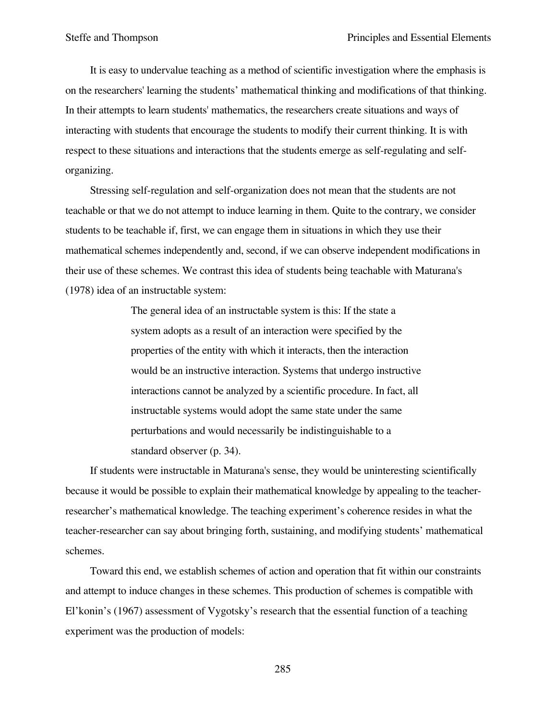It is easy to undervalue teaching as a method of scientific investigation where the emphasis is on the researchers' learning the students' mathematical thinking and modifications of that thinking. In their attempts to learn students' mathematics, the researchers create situations and ways of interacting with students that encourage the students to modify their current thinking. It is with respect to these situations and interactions that the students emerge as self-regulating and selforganizing.

Stressing self-regulation and self-organization does not mean that the students are not teachable or that we do not attempt to induce learning in them. Quite to the contrary, we consider students to be teachable if, first, we can engage them in situations in which they use their mathematical schemes independently and, second, if we can observe independent modifications in their use of these schemes. We contrast this idea of students being teachable with Maturana's (1978) idea of an instructable system:

> The general idea of an instructable system is this: If the state a system adopts as a result of an interaction were specified by the properties of the entity with which it interacts, then the interaction would be an instructive interaction. Systems that undergo instructive interactions cannot be analyzed by a scientific procedure. In fact, all instructable systems would adopt the same state under the same perturbations and would necessarily be indistinguishable to a standard observer (p. 34).

If students were instructable in Maturana's sense, they would be uninteresting scientifically because it would be possible to explain their mathematical knowledge by appealing to the teacherresearcher's mathematical knowledge. The teaching experiment's coherence resides in what the teacher-researcher can say about bringing forth, sustaining, and modifying students' mathematical schemes.

Toward this end, we establish schemes of action and operation that fit within our constraints and attempt to induce changes in these schemes. This production of schemes is compatible with El'konin's (1967) assessment of Vygotsky's research that the essential function of a teaching experiment was the production of models: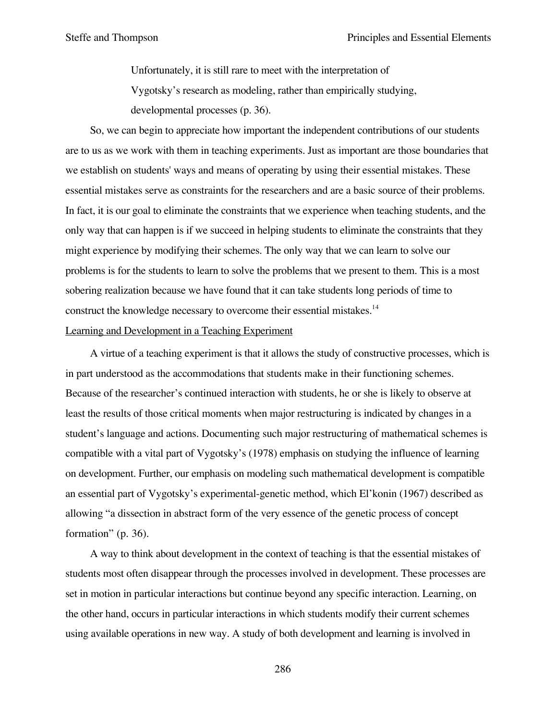Unfortunately, it is still rare to meet with the interpretation of Vygotsky's research as modeling, rather than empirically studying, developmental processes (p. 36).

So, we can begin to appreciate how important the independent contributions of our students are to us as we work with them in teaching experiments. Just as important are those boundaries that we establish on students' ways and means of operating by using their essential mistakes. These essential mistakes serve as constraints for the researchers and are a basic source of their problems. In fact, it is our goal to eliminate the constraints that we experience when teaching students, and the only way that can happen is if we succeed in helping students to eliminate the constraints that they might experience by modifying their schemes. The only way that we can learn to solve our problems is for the students to learn to solve the problems that we present to them. This is a most sobering realization because we have found that it can take students long periods of time to construct the knowledge necessary to overcome their essential mistakes.<sup>14</sup>

# Learning and Development in a Teaching Experiment

A virtue of a teaching experiment is that it allows the study of constructive processes, which is in part understood as the accommodations that students make in their functioning schemes. Because of the researcher's continued interaction with students, he or she is likely to observe at least the results of those critical moments when major restructuring is indicated by changes in a student's language and actions. Documenting such major restructuring of mathematical schemes is compatible with a vital part of Vygotsky's (1978) emphasis on studying the influence of learning on development. Further, our emphasis on modeling such mathematical development is compatible an essential part of Vygotsky's experimental-genetic method, which El'konin (1967) described as allowing "a dissection in abstract form of the very essence of the genetic process of concept formation" (p. 36).

A way to think about development in the context of teaching is that the essential mistakes of students most often disappear through the processes involved in development. These processes are set in motion in particular interactions but continue beyond any specific interaction. Learning, on the other hand, occurs in particular interactions in which students modify their current schemes using available operations in new way. A study of both development and learning is involved in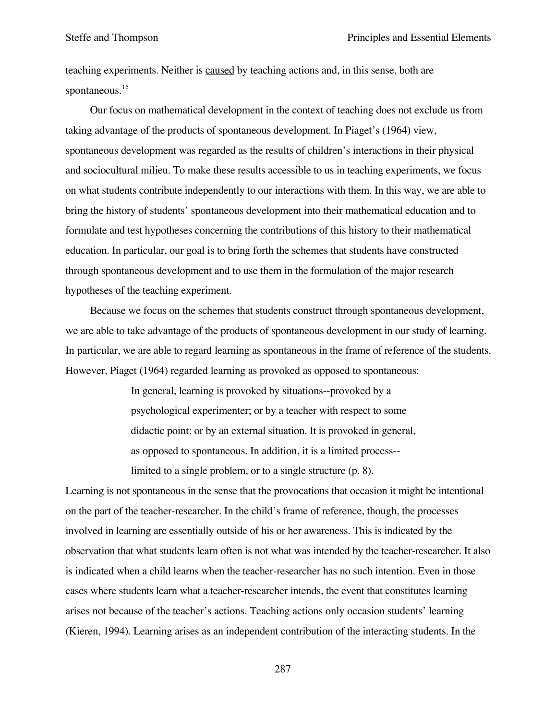teaching experiments. Neither is caused by teaching actions and, in this sense, both are spontaneous.<sup>15</sup>

Our focus on mathematical development in the context of teaching does not exclude us from taking advantage of the products of spontaneous development. In Piaget's (1964) view, spontaneous development was regarded as the results of children's interactions in their physical and sociocultural milieu. To make these results accessible to us in teaching experiments, we focus on what students contribute independently to our interactions with them. In this way, we are able to bring the history of students' spontaneous development into their mathematical education and to formulate and test hypotheses concerning the contributions of this history to their mathematical education. In particular, our goal is to bring forth the schemes that students have constructed through spontaneous development and to use them in the formulation of the major research hypotheses of the teaching experiment.

Because we focus on the schemes that students construct through spontaneous development, we are able to take advantage of the products of spontaneous development in our study of learning. In particular, we are able to regard learning as spontaneous in the frame of reference of the students. However, Piaget (1964) regarded learning as provoked as opposed to spontaneous:

> In general, learning is provoked by situations--provoked by a psychological experimenter; or by a teacher with respect to some didactic point; or by an external situation. It is provoked in general, as opposed to spontaneous. In addition, it is a limited process- limited to a single problem, or to a single structure (p. 8).

Learning is not spontaneous in the sense that the provocations that occasion it might be intentional on the part of the teacher-researcher. In the child's frame of reference, though, the processes involved in learning are essentially outside of his or her awareness. This is indicated by the observation that what students learn often is not what was intended by the teacher-researcher. It also is indicated when a child learns when the teacher-researcher has no such intention. Even in those cases where students learn what a teacher-researcher intends, the event that constitutes learning arises not because of the teacher's actions. Teaching actions only occasion students' learning (Kieren, 1994). Learning arises as an independent contribution of the interacting students. In the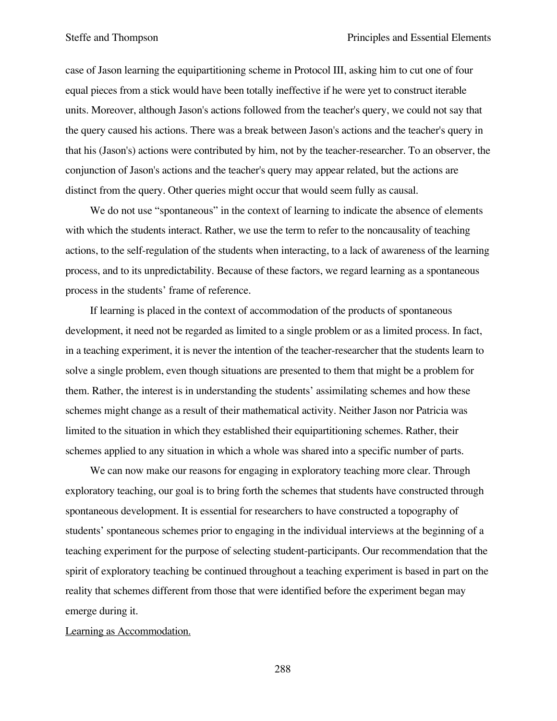case of Jason learning the equipartitioning scheme in Protocol III, asking him to cut one of four equal pieces from a stick would have been totally ineffective if he were yet to construct iterable units. Moreover, although Jason's actions followed from the teacher's query, we could not say that the query caused his actions. There was a break between Jason's actions and the teacher's query in that his (Jason's) actions were contributed by him, not by the teacher-researcher. To an observer, the conjunction of Jason's actions and the teacher's query may appear related, but the actions are distinct from the query. Other queries might occur that would seem fully as causal.

We do not use "spontaneous" in the context of learning to indicate the absence of elements with which the students interact. Rather, we use the term to refer to the noncausality of teaching actions, to the self-regulation of the students when interacting, to a lack of awareness of the learning process, and to its unpredictability. Because of these factors, we regard learning as a spontaneous process in the students' frame of reference.

If learning is placed in the context of accommodation of the products of spontaneous development, it need not be regarded as limited to a single problem or as a limited process. In fact, in a teaching experiment, it is never the intention of the teacher-researcher that the students learn to solve a single problem, even though situations are presented to them that might be a problem for them. Rather, the interest is in understanding the students' assimilating schemes and how these schemes might change as a result of their mathematical activity. Neither Jason nor Patricia was limited to the situation in which they established their equipartitioning schemes. Rather, their schemes applied to any situation in which a whole was shared into a specific number of parts.

We can now make our reasons for engaging in exploratory teaching more clear. Through exploratory teaching, our goal is to bring forth the schemes that students have constructed through spontaneous development. It is essential for researchers to have constructed a topography of students' spontaneous schemes prior to engaging in the individual interviews at the beginning of a teaching experiment for the purpose of selecting student-participants. Our recommendation that the spirit of exploratory teaching be continued throughout a teaching experiment is based in part on the reality that schemes different from those that were identified before the experiment began may emerge during it.

#### Learning as Accommodation.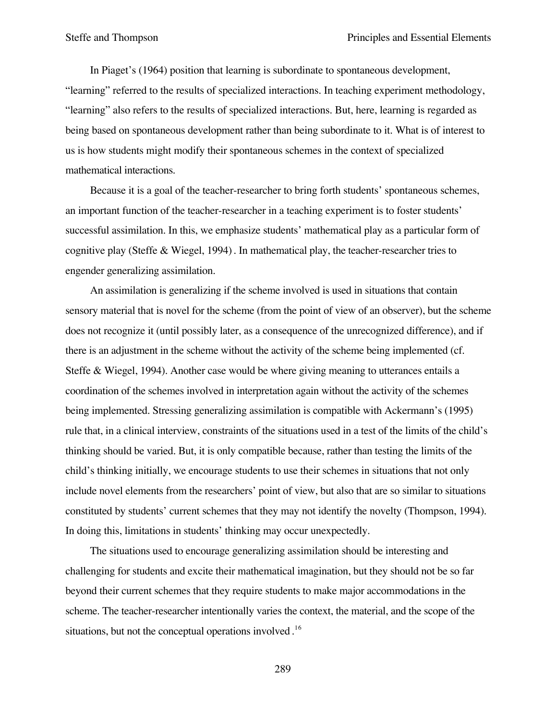In Piaget's (1964) position that learning is subordinate to spontaneous development, "learning" referred to the results of specialized interactions. In teaching experiment methodology, "learning" also refers to the results of specialized interactions. But, here, learning is regarded as being based on spontaneous development rather than being subordinate to it. What is of interest to us is how students might modify their spontaneous schemes in the context of specialized mathematical interactions.

Because it is a goal of the teacher-researcher to bring forth students' spontaneous schemes, an important function of the teacher-researcher in a teaching experiment is to foster students' successful assimilation. In this, we emphasize students' mathematical play as a particular form of cognitive play (Steffe & Wiegel, 1994). In mathematical play, the teacher-researcher tries to engender generalizing assimilation.

An assimilation is generalizing if the scheme involved is used in situations that contain sensory material that is novel for the scheme (from the point of view of an observer), but the scheme does not recognize it (until possibly later, as a consequence of the unrecognized difference), and if there is an adjustment in the scheme without the activity of the scheme being implemented (cf. Steffe & Wiegel, 1994). Another case would be where giving meaning to utterances entails a coordination of the schemes involved in interpretation again without the activity of the schemes being implemented. Stressing generalizing assimilation is compatible with Ackermann's (1995) rule that, in a clinical interview, constraints of the situations used in a test of the limits of the child's thinking should be varied. But, it is only compatible because, rather than testing the limits of the child's thinking initially, we encourage students to use their schemes in situations that not only include novel elements from the researchers' point of view, but also that are so similar to situations constituted by students' current schemes that they may not identify the novelty (Thompson, 1994). In doing this, limitations in students' thinking may occur unexpectedly.

The situations used to encourage generalizing assimilation should be interesting and challenging for students and excite their mathematical imagination, but they should not be so far beyond their current schemes that they require students to make major accommodations in the scheme. The teacher-researcher intentionally varies the context, the material, and the scope of the situations, but not the conceptual operations involved.<sup>16</sup>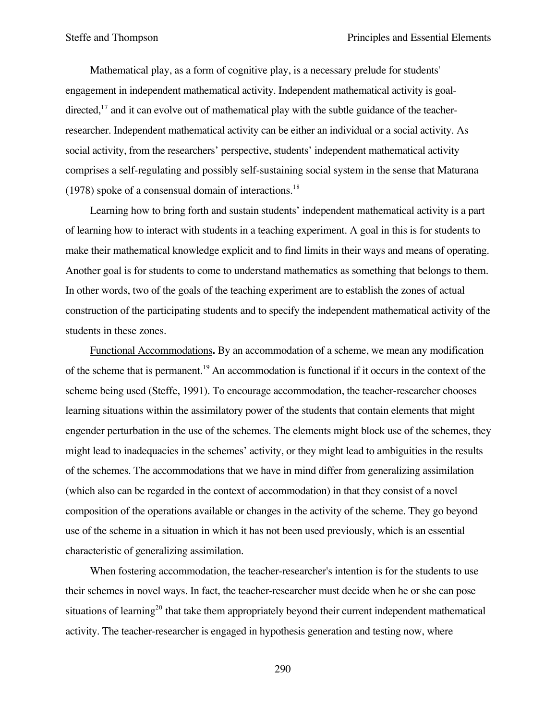Mathematical play, as a form of cognitive play, is a necessary prelude for students' engagement in independent mathematical activity. Independent mathematical activity is goaldirected,<sup>17</sup> and it can evolve out of mathematical play with the subtle guidance of the teacherresearcher. Independent mathematical activity can be either an individual or a social activity. As social activity, from the researchers' perspective, students' independent mathematical activity comprises a self-regulating and possibly self-sustaining social system in the sense that Maturana (1978) spoke of a consensual domain of interactions.<sup>18</sup>

Learning how to bring forth and sustain students' independent mathematical activity is a part of learning how to interact with students in a teaching experiment. A goal in this is for students to make their mathematical knowledge explicit and to find limits in their ways and means of operating. Another goal is for students to come to understand mathematics as something that belongs to them. In other words, two of the goals of the teaching experiment are to establish the zones of actual construction of the participating students and to specify the independent mathematical activity of the students in these zones.

Functional Accommodations**.** By an accommodation of a scheme, we mean any modification of the scheme that is permanent.<sup>19</sup> An accommodation is functional if it occurs in the context of the scheme being used (Steffe, 1991). To encourage accommodation, the teacher-researcher chooses learning situations within the assimilatory power of the students that contain elements that might engender perturbation in the use of the schemes. The elements might block use of the schemes, they might lead to inadequacies in the schemes' activity, or they might lead to ambiguities in the results of the schemes. The accommodations that we have in mind differ from generalizing assimilation (which also can be regarded in the context of accommodation) in that they consist of a novel composition of the operations available or changes in the activity of the scheme. They go beyond use of the scheme in a situation in which it has not been used previously, which is an essential characteristic of generalizing assimilation.

When fostering accommodation, the teacher-researcher's intention is for the students to use their schemes in novel ways. In fact, the teacher-researcher must decide when he or she can pose situations of learning<sup>20</sup> that take them appropriately beyond their current independent mathematical activity. The teacher-researcher is engaged in hypothesis generation and testing now, where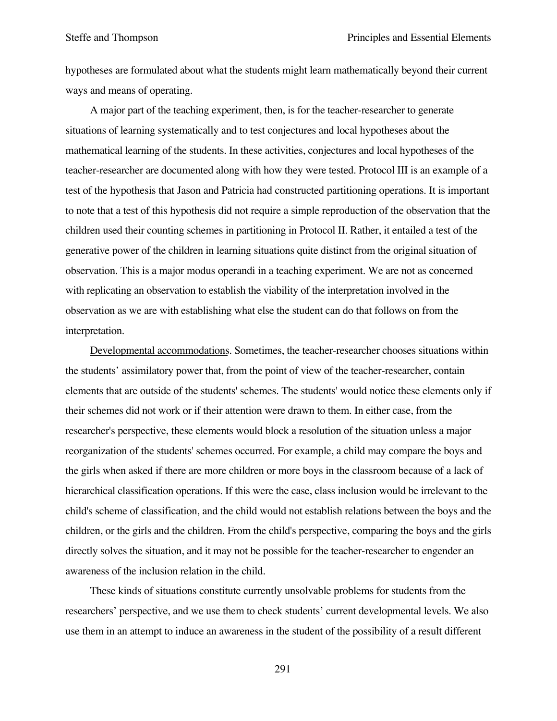hypotheses are formulated about what the students might learn mathematically beyond their current ways and means of operating.

A major part of the teaching experiment, then, is for the teacher-researcher to generate situations of learning systematically and to test conjectures and local hypotheses about the mathematical learning of the students. In these activities, conjectures and local hypotheses of the teacher-researcher are documented along with how they were tested. Protocol III is an example of a test of the hypothesis that Jason and Patricia had constructed partitioning operations. It is important to note that a test of this hypothesis did not require a simple reproduction of the observation that the children used their counting schemes in partitioning in Protocol II. Rather, it entailed a test of the generative power of the children in learning situations quite distinct from the original situation of observation. This is a major modus operandi in a teaching experiment. We are not as concerned with replicating an observation to establish the viability of the interpretation involved in the observation as we are with establishing what else the student can do that follows on from the interpretation.

Developmental accommodations. Sometimes, the teacher-researcher chooses situations within the students' assimilatory power that, from the point of view of the teacher-researcher, contain elements that are outside of the students' schemes. The students' would notice these elements only if their schemes did not work or if their attention were drawn to them. In either case, from the researcher's perspective, these elements would block a resolution of the situation unless a major reorganization of the students' schemes occurred. For example, a child may compare the boys and the girls when asked if there are more children or more boys in the classroom because of a lack of hierarchical classification operations. If this were the case, class inclusion would be irrelevant to the child's scheme of classification, and the child would not establish relations between the boys and the children, or the girls and the children. From the child's perspective, comparing the boys and the girls directly solves the situation, and it may not be possible for the teacher-researcher to engender an awareness of the inclusion relation in the child.

These kinds of situations constitute currently unsolvable problems for students from the researchers' perspective, and we use them to check students' current developmental levels. We also use them in an attempt to induce an awareness in the student of the possibility of a result different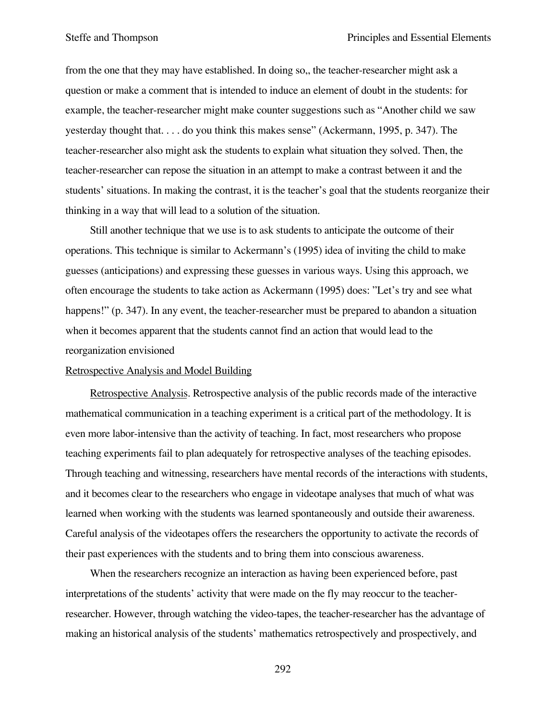from the one that they may have established. In doing so,, the teacher-researcher might ask a question or make a comment that is intended to induce an element of doubt in the students: for example, the teacher-researcher might make counter suggestions such as "Another child we saw yesterday thought that. . . . do you think this makes sense" (Ackermann, 1995, p. 347). The teacher-researcher also might ask the students to explain what situation they solved. Then, the teacher-researcher can repose the situation in an attempt to make a contrast between it and the students' situations. In making the contrast, it is the teacher's goal that the students reorganize their thinking in a way that will lead to a solution of the situation.

Still another technique that we use is to ask students to anticipate the outcome of their operations. This technique is similar to Ackermann's (1995) idea of inviting the child to make guesses (anticipations) and expressing these guesses in various ways. Using this approach, we often encourage the students to take action as Ackermann (1995) does: "Let's try and see what happens!" (p. 347). In any event, the teacher-researcher must be prepared to abandon a situation when it becomes apparent that the students cannot find an action that would lead to the reorganization envisioned

#### Retrospective Analysis and Model Building

Retrospective Analysis. Retrospective analysis of the public records made of the interactive mathematical communication in a teaching experiment is a critical part of the methodology. It is even more labor-intensive than the activity of teaching. In fact, most researchers who propose teaching experiments fail to plan adequately for retrospective analyses of the teaching episodes. Through teaching and witnessing, researchers have mental records of the interactions with students, and it becomes clear to the researchers who engage in videotape analyses that much of what was learned when working with the students was learned spontaneously and outside their awareness. Careful analysis of the videotapes offers the researchers the opportunity to activate the records of their past experiences with the students and to bring them into conscious awareness.

When the researchers recognize an interaction as having been experienced before, past interpretations of the students' activity that were made on the fly may reoccur to the teacherresearcher. However, through watching the video-tapes, the teacher-researcher has the advantage of making an historical analysis of the students' mathematics retrospectively and prospectively, and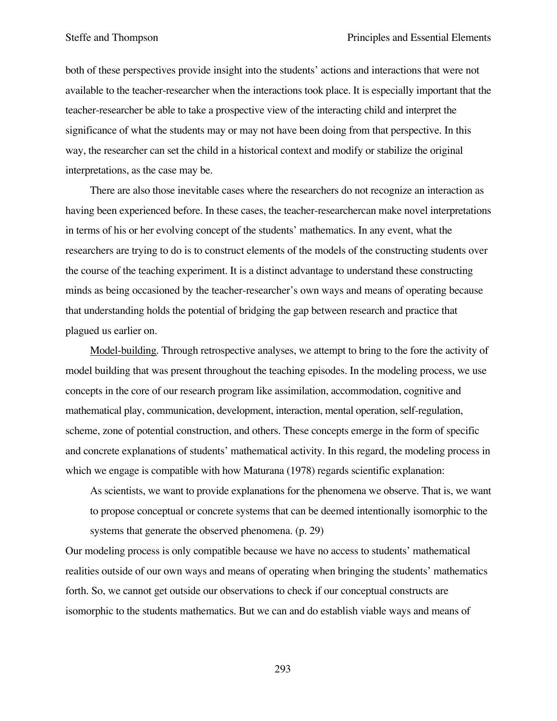both of these perspectives provide insight into the students' actions and interactions that were not available to the teacher-researcher when the interactions took place. It is especially important that the teacher-researcher be able to take a prospective view of the interacting child and interpret the significance of what the students may or may not have been doing from that perspective. In this way, the researcher can set the child in a historical context and modify or stabilize the original interpretations, as the case may be.

There are also those inevitable cases where the researchers do not recognize an interaction as having been experienced before. In these cases, the teacher-researchercan make novel interpretations in terms of his or her evolving concept of the students' mathematics. In any event, what the researchers are trying to do is to construct elements of the models of the constructing students over the course of the teaching experiment. It is a distinct advantage to understand these constructing minds as being occasioned by the teacher-researcher's own ways and means of operating because that understanding holds the potential of bridging the gap between research and practice that plagued us earlier on.

Model-building*.* Through retrospective analyses, we attempt to bring to the fore the activity of model building that was present throughout the teaching episodes. In the modeling process, we use concepts in the core of our research program like assimilation, accommodation, cognitive and mathematical play, communication, development, interaction, mental operation, self-regulation, scheme, zone of potential construction, and others. These concepts emerge in the form of specific and concrete explanations of students' mathematical activity. In this regard, the modeling process in which we engage is compatible with how Maturana (1978) regards scientific explanation:

As scientists, we want to provide explanations for the phenomena we observe. That is, we want to propose conceptual or concrete systems that can be deemed intentionally isomorphic to the systems that generate the observed phenomena. (p. 29)

Our modeling process is only compatible because we have no access to students' mathematical realities outside of our own ways and means of operating when bringing the students' mathematics forth. So, we cannot get outside our observations to check if our conceptual constructs are isomorphic to the students mathematics. But we can and do establish viable ways and means of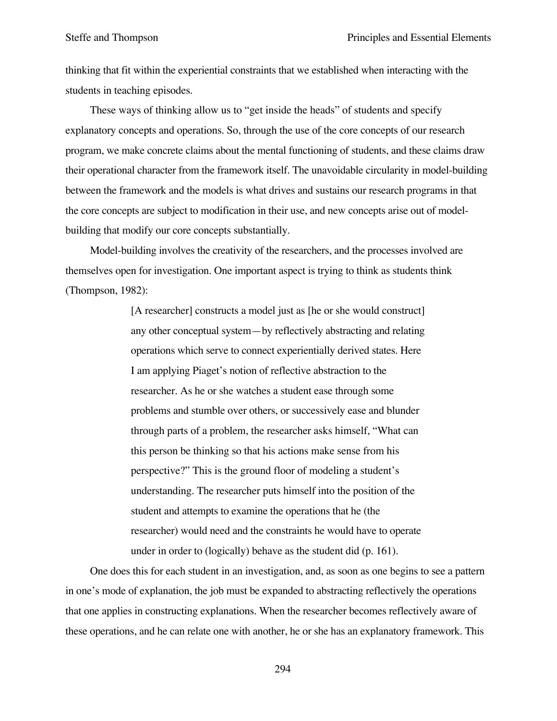thinking that fit within the experiential constraints that we established when interacting with the students in teaching episodes.

These ways of thinking allow us to "get inside the heads" of students and specify explanatory concepts and operations. So, through the use of the core concepts of our research program, we make concrete claims about the mental functioning of students, and these claims draw their operational character from the framework itself. The unavoidable circularity in model-building between the framework and the models is what drives and sustains our research programs in that the core concepts are subject to modification in their use, and new concepts arise out of modelbuilding that modify our core concepts substantially.

Model-building involves the creativity of the researchers, and the processes involved are themselves open for investigation. One important aspect is trying to think as students think (Thompson, 1982):

> [A researcher] constructs a model just as [he or she would construct] any other conceptual system—by reflectively abstracting and relating operations which serve to connect experientially derived states. Here I am applying Piaget's notion of reflective abstraction to the researcher. As he or she watches a student ease through some problems and stumble over others, or successively ease and blunder through parts of a problem, the researcher asks himself, "What can this person be thinking so that his actions make sense from his perspective?" This is the ground floor of modeling a student's understanding. The researcher puts himself into the position of the student and attempts to examine the operations that he (the researcher) would need and the constraints he would have to operate under in order to (logically) behave as the student did (p. 161).

One does this for each student in an investigation, and, as soon as one begins to see a pattern in one's mode of explanation, the job must be expanded to abstracting reflectively the operations that one applies in constructing explanations. When the researcher becomes reflectively aware of these operations, and he can relate one with another, he or she has an explanatory framework. This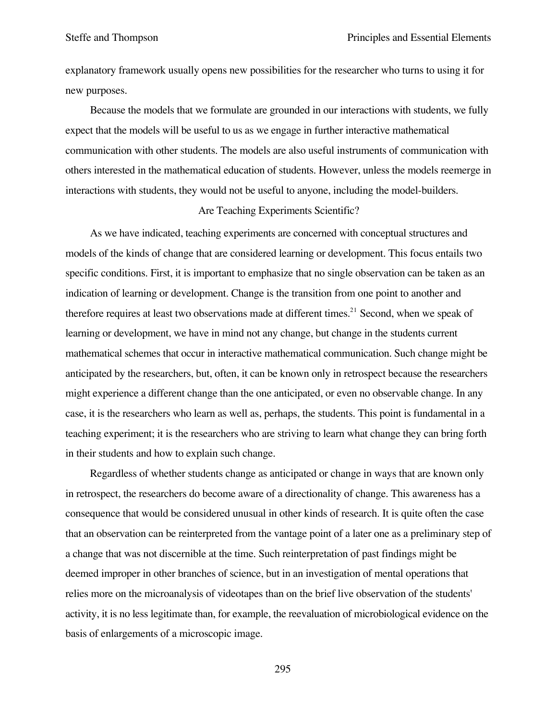explanatory framework usually opens new possibilities for the researcher who turns to using it for new purposes.

Because the models that we formulate are grounded in our interactions with students, we fully expect that the models will be useful to us as we engage in further interactive mathematical communication with other students. The models are also useful instruments of communication with others interested in the mathematical education of students. However, unless the models reemerge in interactions with students, they would not be useful to anyone, including the model-builders.

## Are Teaching Experiments Scientific?

As we have indicated, teaching experiments are concerned with conceptual structures and models of the kinds of change that are considered learning or development. This focus entails two specific conditions. First, it is important to emphasize that no single observation can be taken as an indication of learning or development. Change is the transition from one point to another and therefore requires at least two observations made at different times.<sup>21</sup> Second, when we speak of learning or development, we have in mind not any change, but change in the students current mathematical schemes that occur in interactive mathematical communication. Such change might be anticipated by the researchers, but, often, it can be known only in retrospect because the researchers might experience a different change than the one anticipated, or even no observable change. In any case, it is the researchers who learn as well as, perhaps, the students. This point is fundamental in a teaching experiment; it is the researchers who are striving to learn what change they can bring forth in their students and how to explain such change.

Regardless of whether students change as anticipated or change in ways that are known only in retrospect, the researchers do become aware of a directionality of change. This awareness has a consequence that would be considered unusual in other kinds of research. It is quite often the case that an observation can be reinterpreted from the vantage point of a later one as a preliminary step of a change that was not discernible at the time. Such reinterpretation of past findings might be deemed improper in other branches of science, but in an investigation of mental operations that relies more on the microanalysis of videotapes than on the brief live observation of the students' activity, it is no less legitimate than, for example, the reevaluation of microbiological evidence on the basis of enlargements of a microscopic image.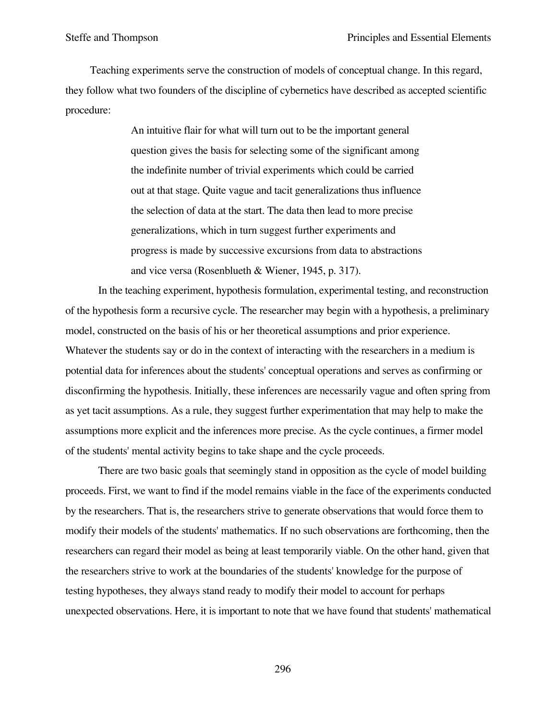Teaching experiments serve the construction of models of conceptual change. In this regard, they follow what two founders of the discipline of cybernetics have described as accepted scientific procedure:

> An intuitive flair for what will turn out to be the important general question gives the basis for selecting some of the significant among the indefinite number of trivial experiments which could be carried out at that stage. Quite vague and tacit generalizations thus influence the selection of data at the start. The data then lead to more precise generalizations, which in turn suggest further experiments and progress is made by successive excursions from data to abstractions and vice versa (Rosenblueth & Wiener, 1945, p. 317).

In the teaching experiment, hypothesis formulation, experimental testing, and reconstruction of the hypothesis form a recursive cycle. The researcher may begin with a hypothesis, a preliminary model, constructed on the basis of his or her theoretical assumptions and prior experience. Whatever the students say or do in the context of interacting with the researchers in a medium is potential data for inferences about the students' conceptual operations and serves as confirming or disconfirming the hypothesis. Initially, these inferences are necessarily vague and often spring from as yet tacit assumptions. As a rule, they suggest further experimentation that may help to make the assumptions more explicit and the inferences more precise. As the cycle continues, a firmer model of the students' mental activity begins to take shape and the cycle proceeds.

There are two basic goals that seemingly stand in opposition as the cycle of model building proceeds. First, we want to find if the model remains viable in the face of the experiments conducted by the researchers. That is, the researchers strive to generate observations that would force them to modify their models of the students' mathematics. If no such observations are forthcoming, then the researchers can regard their model as being at least temporarily viable. On the other hand, given that the researchers strive to work at the boundaries of the students' knowledge for the purpose of testing hypotheses, they always stand ready to modify their model to account for perhaps unexpected observations. Here, it is important to note that we have found that students' mathematical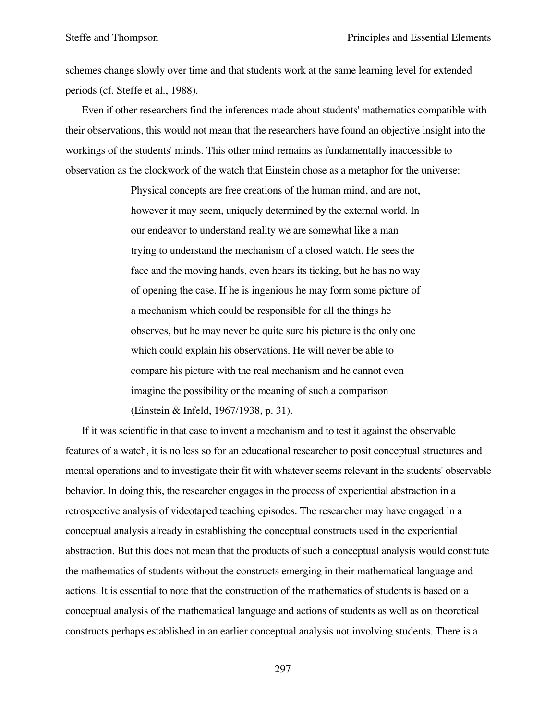schemes change slowly over time and that students work at the same learning level for extended periods (cf. Steffe et al., 1988).

Even if other researchers find the inferences made about students' mathematics compatible with their observations, this would not mean that the researchers have found an objective insight into the workings of the students' minds. This other mind remains as fundamentally inaccessible to observation as the clockwork of the watch that Einstein chose as a metaphor for the universe:

> Physical concepts are free creations of the human mind, and are not, however it may seem, uniquely determined by the external world. In our endeavor to understand reality we are somewhat like a man trying to understand the mechanism of a closed watch. He sees the face and the moving hands, even hears its ticking, but he has no way of opening the case. If he is ingenious he may form some picture of a mechanism which could be responsible for all the things he observes, but he may never be quite sure his picture is the only one which could explain his observations. He will never be able to compare his picture with the real mechanism and he cannot even imagine the possibility or the meaning of such a comparison (Einstein & Infeld, 1967/1938, p. 31).

If it was scientific in that case to invent a mechanism and to test it against the observable features of a watch, it is no less so for an educational researcher to posit conceptual structures and mental operations and to investigate their fit with whatever seems relevant in the students' observable behavior. In doing this, the researcher engages in the process of experiential abstraction in a retrospective analysis of videotaped teaching episodes. The researcher may have engaged in a conceptual analysis already in establishing the conceptual constructs used in the experiential abstraction. But this does not mean that the products of such a conceptual analysis would constitute the mathematics of students without the constructs emerging in their mathematical language and actions. It is essential to note that the construction of the mathematics of students is based on a conceptual analysis of the mathematical language and actions of students as well as on theoretical constructs perhaps established in an earlier conceptual analysis not involving students. There is a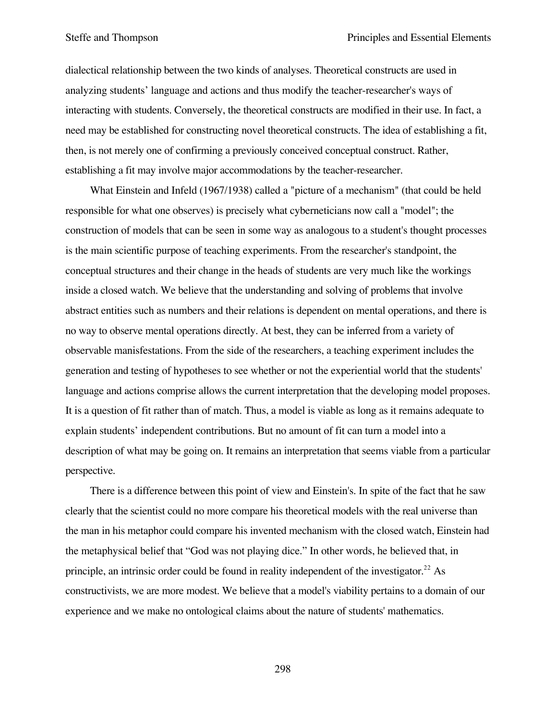dialectical relationship between the two kinds of analyses. Theoretical constructs are used in analyzing students' language and actions and thus modify the teacher-researcher's ways of interacting with students. Conversely, the theoretical constructs are modified in their use. In fact, a need may be established for constructing novel theoretical constructs. The idea of establishing a fit, then, is not merely one of confirming a previously conceived conceptual construct. Rather, establishing a fit may involve major accommodations by the teacher-researcher.

What Einstein and Infeld (1967/1938) called a "picture of a mechanism" (that could be held responsible for what one observes) is precisely what cyberneticians now call a "model"; the construction of models that can be seen in some way as analogous to a student's thought processes is the main scientific purpose of teaching experiments. From the researcher's standpoint, the conceptual structures and their change in the heads of students are very much like the workings inside a closed watch. We believe that the understanding and solving of problems that involve abstract entities such as numbers and their relations is dependent on mental operations, and there is no way to observe mental operations directly. At best, they can be inferred from a variety of observable manisfestations. From the side of the researchers, a teaching experiment includes the generation and testing of hypotheses to see whether or not the experiential world that the students' language and actions comprise allows the current interpretation that the developing model proposes. It is a question of fit rather than of match. Thus, a model is viable as long as it remains adequate to explain students' independent contributions. But no amount of fit can turn a model into a description of what may be going on. It remains an interpretation that seems viable from a particular perspective.

There is a difference between this point of view and Einstein's. In spite of the fact that he saw clearly that the scientist could no more compare his theoretical models with the real universe than the man in his metaphor could compare his invented mechanism with the closed watch, Einstein had the metaphysical belief that "God was not playing dice." In other words, he believed that, in principle, an intrinsic order could be found in reality independent of the investigator.<sup>22</sup> As constructivists, we are more modest. We believe that a model's viability pertains to a domain of our experience and we make no ontological claims about the nature of students' mathematics.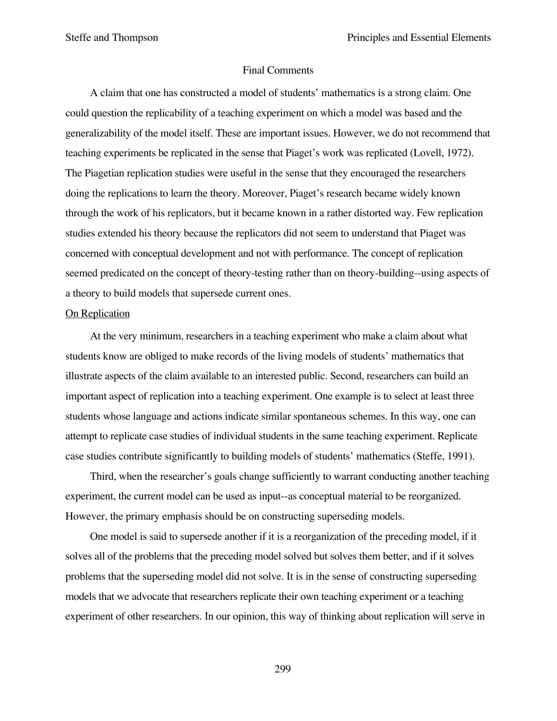## Final Comments

A claim that one has constructed a model of students' mathematics is a strong claim. One could question the replicability of a teaching experiment on which a model was based and the generalizability of the model itself. These are important issues. However, we do not recommend that teaching experiments be replicated in the sense that Piaget's work was replicated (Lovell, 1972). The Piagetian replication studies were useful in the sense that they encouraged the researchers doing the replications to learn the theory. Moreover, Piaget's research became widely known through the work of his replicators, but it became known in a rather distorted way. Few replication studies extended his theory because the replicators did not seem to understand that Piaget was concerned with conceptual development and not with performance. The concept of replication seemed predicated on the concept of theory-testing rather than on theory-building--using aspects of a theory to build models that supersede current ones.

## On Replication

At the very minimum, researchers in a teaching experiment who make a claim about what students know are obliged to make records of the living models of students' mathematics that illustrate aspects of the claim available to an interested public. Second, researchers can build an important aspect of replication into a teaching experiment. One example is to select at least three students whose language and actions indicate similar spontaneous schemes. In this way, one can attempt to replicate case studies of individual students in the same teaching experiment. Replicate case studies contribute significantly to building models of students' mathematics (Steffe, 1991).

Third, when the researcher's goals change sufficiently to warrant conducting another teaching experiment, the current model can be used as input--as conceptual material to be reorganized. However, the primary emphasis should be on constructing superseding models.

One model is said to supersede another if it is a reorganization of the preceding model, if it solves all of the problems that the preceding model solved but solves them better, and if it solves problems that the superseding model did not solve. It is in the sense of constructing superseding models that we advocate that researchers replicate their own teaching experiment or a teaching experiment of other researchers. In our opinion, this way of thinking about replication will serve in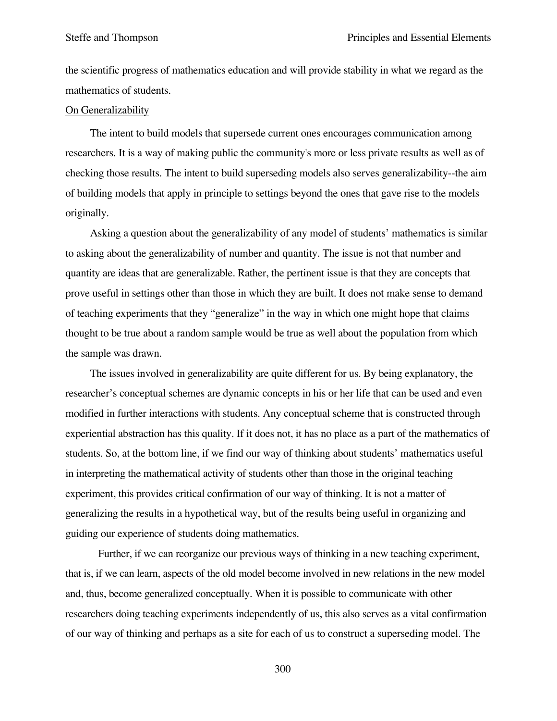the scientific progress of mathematics education and will provide stability in what we regard as the mathematics of students.

# On Generalizability

The intent to build models that supersede current ones encourages communication among researchers. It is a way of making public the community's more or less private results as well as of checking those results. The intent to build superseding models also serves generalizability--the aim of building models that apply in principle to settings beyond the ones that gave rise to the models originally.

Asking a question about the generalizability of any model of students' mathematics is similar to asking about the generalizability of number and quantity. The issue is not that number and quantity are ideas that are generalizable. Rather, the pertinent issue is that they are concepts that prove useful in settings other than those in which they are built. It does not make sense to demand of teaching experiments that they "generalize" in the way in which one might hope that claims thought to be true about a random sample would be true as well about the population from which the sample was drawn.

The issues involved in generalizability are quite different for us. By being explanatory, the researcher's conceptual schemes are dynamic concepts in his or her life that can be used and even modified in further interactions with students. Any conceptual scheme that is constructed through experiential abstraction has this quality. If it does not, it has no place as a part of the mathematics of students. So, at the bottom line, if we find our way of thinking about students' mathematics useful in interpreting the mathematical activity of students other than those in the original teaching experiment, this provides critical confirmation of our way of thinking. It is not a matter of generalizing the results in a hypothetical way, but of the results being useful in organizing and guiding our experience of students doing mathematics.

Further, if we can reorganize our previous ways of thinking in a new teaching experiment, that is, if we can learn, aspects of the old model become involved in new relations in the new model and, thus, become generalized conceptually. When it is possible to communicate with other researchers doing teaching experiments independently of us, this also serves as a vital confirmation of our way of thinking and perhaps as a site for each of us to construct a superseding model. The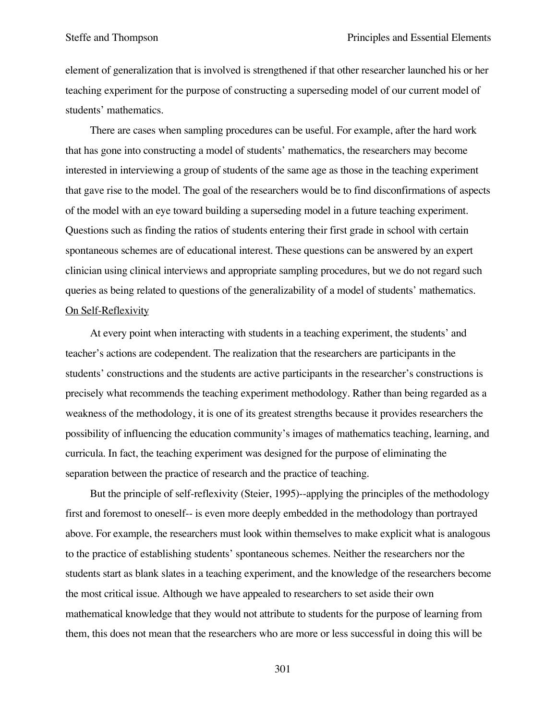element of generalization that is involved is strengthened if that other researcher launched his or her teaching experiment for the purpose of constructing a superseding model of our current model of students' mathematics.

There are cases when sampling procedures can be useful. For example, after the hard work that has gone into constructing a model of students' mathematics, the researchers may become interested in interviewing a group of students of the same age as those in the teaching experiment that gave rise to the model. The goal of the researchers would be to find disconfirmations of aspects of the model with an eye toward building a superseding model in a future teaching experiment. Questions such as finding the ratios of students entering their first grade in school with certain spontaneous schemes are of educational interest. These questions can be answered by an expert clinician using clinical interviews and appropriate sampling procedures, but we do not regard such queries as being related to questions of the generalizability of a model of students' mathematics. On Self-Reflexivity

At every point when interacting with students in a teaching experiment, the students' and teacher's actions are codependent. The realization that the researchers are participants in the students' constructions and the students are active participants in the researcher's constructions is precisely what recommends the teaching experiment methodology. Rather than being regarded as a weakness of the methodology, it is one of its greatest strengths because it provides researchers the possibility of influencing the education community's images of mathematics teaching, learning, and curricula. In fact, the teaching experiment was designed for the purpose of eliminating the separation between the practice of research and the practice of teaching.

But the principle of self-reflexivity (Steier, 1995)--applying the principles of the methodology first and foremost to oneself-- is even more deeply embedded in the methodology than portrayed above. For example, the researchers must look within themselves to make explicit what is analogous to the practice of establishing students' spontaneous schemes. Neither the researchers nor the students start as blank slates in a teaching experiment, and the knowledge of the researchers become the most critical issue. Although we have appealed to researchers to set aside their own mathematical knowledge that they would not attribute to students for the purpose of learning from them, this does not mean that the researchers who are more or less successful in doing this will be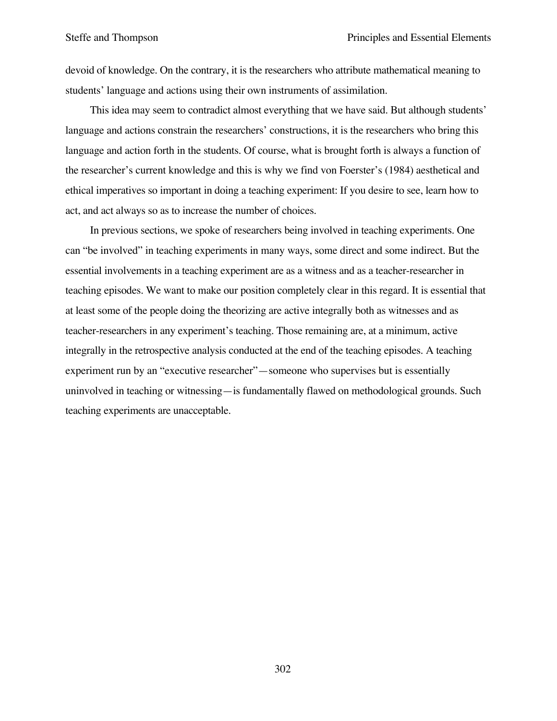devoid of knowledge. On the contrary, it is the researchers who attribute mathematical meaning to students' language and actions using their own instruments of assimilation.

This idea may seem to contradict almost everything that we have said. But although students' language and actions constrain the researchers' constructions, it is the researchers who bring this language and action forth in the students. Of course, what is brought forth is always a function of the researcher's current knowledge and this is why we find von Foerster's (1984) aesthetical and ethical imperatives so important in doing a teaching experiment: If you desire to see, learn how to act, and act always so as to increase the number of choices.

In previous sections, we spoke of researchers being involved in teaching experiments. One can "be involved" in teaching experiments in many ways, some direct and some indirect. But the essential involvements in a teaching experiment are as a witness and as a teacher-researcher in teaching episodes. We want to make our position completely clear in this regard. It is essential that at least some of the people doing the theorizing are active integrally both as witnesses and as teacher-researchers in any experiment's teaching. Those remaining are, at a minimum, active integrally in the retrospective analysis conducted at the end of the teaching episodes. A teaching experiment run by an "executive researcher"—someone who supervises but is essentially uninvolved in teaching or witnessing—is fundamentally flawed on methodological grounds. Such teaching experiments are unacceptable.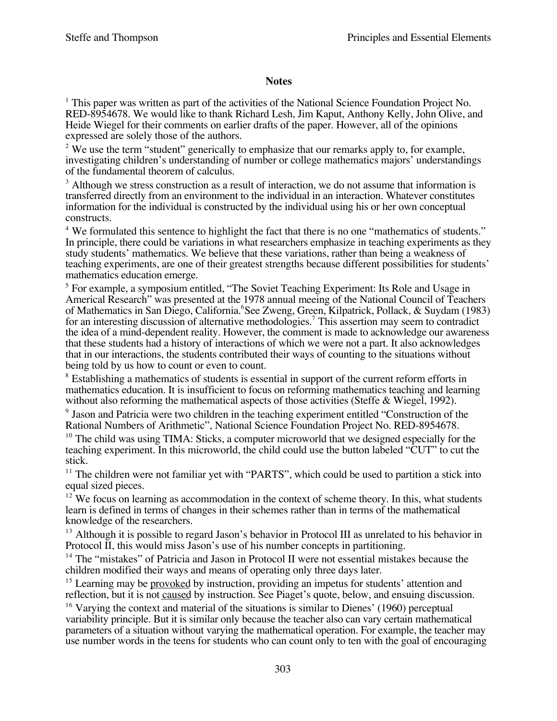# **Notes**

<sup>1</sup> This paper was written as part of the activities of the National Science Foundation Project No. RED-8954678. We would like to thank Richard Lesh, Jim Kaput, Anthony Kelly, John Olive, and Heide Wiegel for their comments on earlier drafts of the paper. However, all of the opinions expressed are solely those of the authors.

<sup>2</sup> We use the term "student" generically to emphasize that our remarks apply to, for example, investigating children's understanding of number or college mathematics majors' understandings of the fundamental theorem of calculus.

 $3$  Although we stress construction as a result of interaction, we do not assume that information is transferred directly from an environment to the individual in an interaction. Whatever constitutes information for the individual is constructed by the individual using his or her own conceptual constructs.

<sup>4</sup> We formulated this sentence to highlight the fact that there is no one "mathematics of students." In principle, there could be variations in what researchers emphasize in teaching experiments as they study students' mathematics. We believe that these variations, rather than being a weakness of teaching experiments, are one of their greatest strengths because different possibilities for students' mathematics education emerge.

<sup>5</sup> For example, a symposium entitled, "The Soviet Teaching Experiment: Its Role and Usage in Americal Research" was presented at the 1978 annual meeing of the National Council of Teachers of Mathematics in San Diego, California. See Zweng, Green, Kilpatrick, Pollack, & Suydam (1983) for an interesting discussion of alternative methodologies.<sup>7</sup> This assertion may seem to contradict the idea of a mind-dependent reality. However, the comment is made to acknowledge our awareness that these students had a history of interactions of which we were not a part. It also acknowledges that in our interactions, the students contributed their ways of counting to the situations without being told by us how to count or even to count.

<sup>8</sup> Establishing a mathematics of students is essential in support of the current reform efforts in mathematics education. It is insufficient to focus on reforming mathematics teaching and learning without also reforming the mathematical aspects of those activities (Steffe & Wiegel, 1992).

<sup>9</sup> Jason and Patricia were two children in the teaching experiment entitled "Construction of the Rational Numbers of Arithmetic", National Science Foundation Project No. RED-8954678.

 $10$  The child was using TIMA: Sticks, a computer microworld that we designed especially for the teaching experiment. In this microworld, the child could use the button labeled "CUT" to cut the stick.

<sup>11</sup> The children were not familiar yet with "PARTS", which could be used to partition a stick into equal sized pieces.

 $12$  We focus on learning as accommodation in the context of scheme theory. In this, what students learn is defined in terms of changes in their schemes rather than in terms of the mathematical knowledge of the researchers.

<sup>13</sup> Although it is possible to regard Jason's behavior in Protocol III as unrelated to his behavior in Protocol II, this would miss Jason's use of his number concepts in partitioning.

<sup>14</sup> The "mistakes" of Patricia and Jason in Protocol II were not essential mistakes because the children modified their ways and means of operating only three days later.

<sup>15</sup> Learning may be provoked by instruction, providing an impetus for students' attention and reflection, but it is not caused by instruction. See Piaget's quote, below, and ensuing discussion.

<sup>16</sup> Varying the context and material of the situations is similar to Dienes' (1960) perceptual variability principle. But it is similar only because the teacher also can vary certain mathematical parameters of a situation without varying the mathematical operation. For example, the teacher may use number words in the teens for students who can count only to ten with the goal of encouraging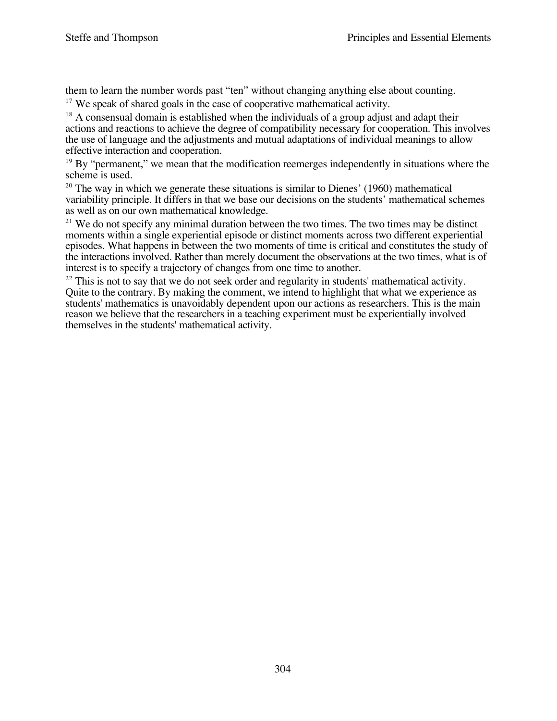them to learn the number words past "ten" without changing anything else about counting.

 $17$  We speak of shared goals in the case of cooperative mathematical activity.

 $18$  A consensual domain is established when the individuals of a group adjust and adapt their actions and reactions to achieve the degree of compatibility necessary for cooperation. This involves the use of language and the adjustments and mutual adaptations of individual meanings to allow effective interaction and cooperation.

<sup>19</sup> By "permanent," we mean that the modification reemerges independently in situations where the scheme is used.

 $20$  The way in which we generate these situations is similar to Dienes' (1960) mathematical variability principle. It differs in that we base our decisions on the students' mathematical schemes as well as on our own mathematical knowledge.

 $2<sup>1</sup>$  We do not specify any minimal duration between the two times. The two times may be distinct moments within a single experiential episode or distinct moments across two different experiential episodes. What happens in between the two moments of time is critical and constitutes the study of the interactions involved. Rather than merely document the observations at the two times, what is of interest is to specify a trajectory of changes from one time to another.

 $22$  This is not to say that we do not seek order and regularity in students' mathematical activity. Quite to the contrary. By making the comment, we intend to highlight that what we experience as students' mathematics is unavoidably dependent upon our actions as researchers. This is the main reason we believe that the researchers in a teaching experiment must be experientially involved themselves in the students' mathematical activity.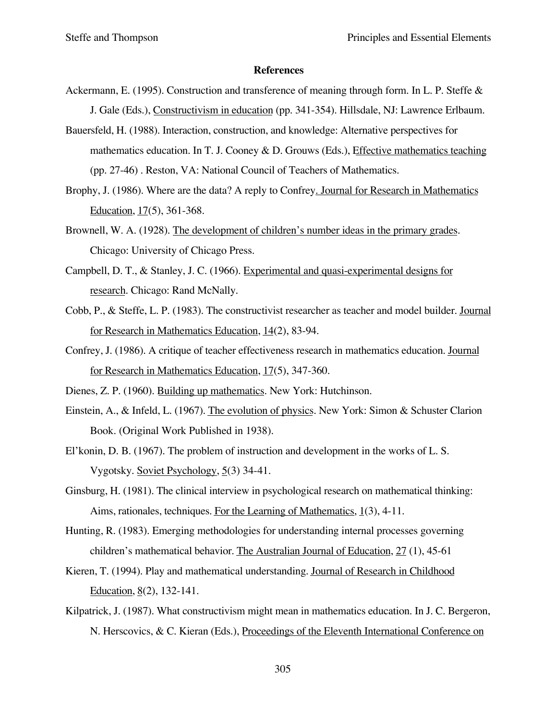#### **References**

- Ackermann, E. (1995). Construction and transference of meaning through form. In L. P. Steffe & J. Gale (Eds.), Constructivism in education (pp. 341-354). Hillsdale, NJ: Lawrence Erlbaum.
- Bauersfeld, H. (1988). Interaction, construction, and knowledge: Alternative perspectives for mathematics education. In T. J. Cooney & D. Grouws (Eds.), Effective mathematics teaching (pp. 27-46) . Reston, VA: National Council of Teachers of Mathematics.
- Brophy, J. (1986). Where are the data? A reply to Confrey. Journal for Research in Mathematics Education, 17(5), 361-368.
- Brownell, W. A. (1928). The development of children's number ideas in the primary grades. Chicago: University of Chicago Press.
- Campbell, D. T., & Stanley, J. C. (1966). Experimental and quasi-experimental designs for research. Chicago: Rand McNally.
- Cobb, P., & Steffe, L. P. (1983). The constructivist researcher as teacher and model builder. Journal for Research in Mathematics Education, 14(2), 83-94.
- Confrey, J. (1986). A critique of teacher effectiveness research in mathematics education. Journal for Research in Mathematics Education, 17(5), 347-360.
- Dienes, Z. P. (1960). Building up mathematics. New York: Hutchinson.
- Einstein, A., & Infeld, L. (1967). The evolution of physics. New York: Simon & Schuster Clarion Book. (Original Work Published in 1938).
- El'konin, D. B. (1967). The problem of instruction and development in the works of L. S. Vygotsky. Soviet Psychology, 5(3) 34-41.
- Ginsburg, H. (1981). The clinical interview in psychological research on mathematical thinking: Aims, rationales, techniques. For the Learning of Mathematics, 1(3), 4-11.
- Hunting, R. (1983). Emerging methodologies for understanding internal processes governing children's mathematical behavior. The Australian Journal of Education, 27 (1), 45-61
- Kieren, T. (1994). Play and mathematical understanding. Journal of Research in Childhood Education, 8(2), 132-141.
- Kilpatrick, J. (1987). What constructivism might mean in mathematics education. In J. C. Bergeron, N. Herscovics, & C. Kieran (Eds.), Proceedings of the Eleventh International Conference on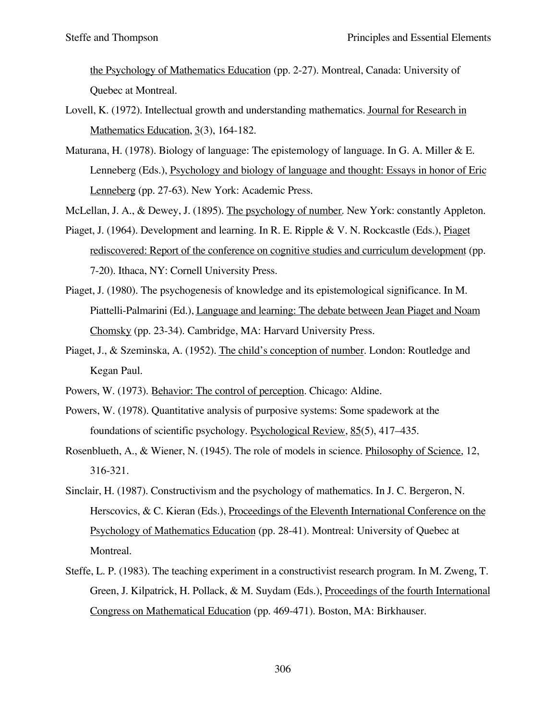the Psychology of Mathematics Education (pp. 2-27). Montreal, Canada: University of Quebec at Montreal.

- Lovell, K. (1972). Intellectual growth and understanding mathematics. Journal for Research in Mathematics Education, 3(3), 164-182.
- Maturana, H. (1978). Biology of language: The epistemology of language. In G. A. Miller & E. Lenneberg (Eds.), Psychology and biology of language and thought: Essays in honor of Eric Lenneberg (pp. 27-63). New York: Academic Press.

McLellan, J. A., & Dewey, J. (1895). The psychology of number. New York: constantly Appleton.

- Piaget, J. (1964). Development and learning. In R. E. Ripple & V. N. Rockcastle (Eds.), Piaget rediscovered: Report of the conference on cognitive studies and curriculum development (pp. 7-20). Ithaca, NY: Cornell University Press.
- Piaget, J. (1980). The psychogenesis of knowledge and its epistemological significance. In M. Piattelli-Palmarini (Ed.), Language and learning: The debate between Jean Piaget and Noam Chomsky (pp. 23-34). Cambridge, MA: Harvard University Press.
- Piaget, J., & Szeminska, A. (1952). The child's conception of number. London: Routledge and Kegan Paul.
- Powers, W. (1973). Behavior: The control of perception. Chicago: Aldine.
- Powers, W. (1978). Quantitative analysis of purposive systems: Some spadework at the foundations of scientific psychology. Psychological Review, 85(5), 417–435.
- Rosenblueth, A., & Wiener, N. (1945). The role of models in science. Philosophy of Science, 12, 316-321.
- Sinclair, H. (1987). Constructivism and the psychology of mathematics. In J. C. Bergeron, N. Herscovics, & C. Kieran (Eds.), Proceedings of the Eleventh International Conference on the Psychology of Mathematics Education (pp. 28-41). Montreal: University of Quebec at Montreal.
- Steffe, L. P. (1983). The teaching experiment in a constructivist research program. In M. Zweng, T. Green, J. Kilpatrick, H. Pollack, & M. Suydam (Eds.), Proceedings of the fourth International Congress on Mathematical Education (pp. 469-471). Boston, MA: Birkhauser.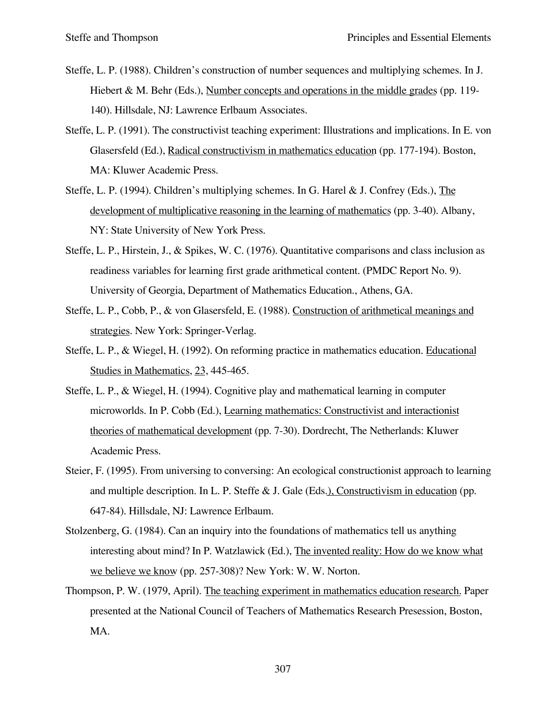- Steffe, L. P. (1988). Children's construction of number sequences and multiplying schemes. In J. Hiebert & M. Behr (Eds.), Number concepts and operations in the middle grades (pp. 119-140). Hillsdale, NJ: Lawrence Erlbaum Associates.
- Steffe, L. P. (1991). The constructivist teaching experiment: Illustrations and implications. In E. von Glasersfeld (Ed.), Radical constructivism in mathematics education (pp. 177-194). Boston, MA: Kluwer Academic Press.
- Steffe, L. P. (1994). Children's multiplying schemes. In G. Harel & J. Confrey (Eds.), The development of multiplicative reasoning in the learning of mathematics (pp. 3-40). Albany, NY: State University of New York Press.
- Steffe, L. P., Hirstein, J., & Spikes, W. C. (1976). Quantitative comparisons and class inclusion as readiness variables for learning first grade arithmetical content. (PMDC Report No. 9). University of Georgia, Department of Mathematics Education., Athens, GA.
- Steffe, L. P., Cobb, P., & von Glasersfeld, E. (1988). Construction of arithmetical meanings and strategies. New York: Springer-Verlag.
- Steffe, L. P., & Wiegel, H. (1992). On reforming practice in mathematics education. Educational Studies in Mathematics, 23, 445-465.
- Steffe, L. P., & Wiegel, H. (1994). Cognitive play and mathematical learning in computer microworlds. In P. Cobb (Ed.), Learning mathematics: Constructivist and interactionist theories of mathematical development (pp. 7-30). Dordrecht, The Netherlands: Kluwer Academic Press.
- Steier, F. (1995). From universing to conversing: An ecological constructionist approach to learning and multiple description. In L. P. Steffe & J. Gale (Eds.), Constructivism in education (pp. 647-84). Hillsdale, NJ: Lawrence Erlbaum.
- Stolzenberg, G. (1984). Can an inquiry into the foundations of mathematics tell us anything interesting about mind? In P. Watzlawick (Ed.), The invented reality: How do we know what we believe we know (pp. 257-308)? New York: W. W. Norton.
- Thompson, P. W. (1979, April). The teaching experiment in mathematics education research. Paper presented at the National Council of Teachers of Mathematics Research Presession, Boston, MA.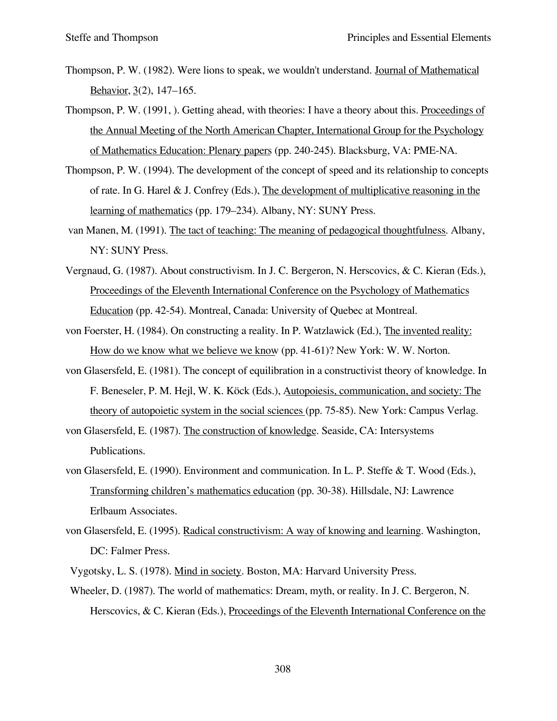- Thompson, P. W. (1982). Were lions to speak, we wouldn't understand. Journal of Mathematical Behavior, 3(2), 147–165.
- Thompson, P. W. (1991, ). Getting ahead, with theories: I have a theory about this. Proceedings of the Annual Meeting of the North American Chapter, International Group for the Psychology of Mathematics Education: Plenary papers (pp. 240-245)*.* Blacksburg, VA: PME-NA.
- Thompson, P. W. (1994). The development of the concept of speed and its relationship to concepts of rate. In G. Harel & J. Confrey (Eds.), The development of multiplicative reasoning in the learning of mathematics (pp. 179–234). Albany, NY: SUNY Press.
- van Manen, M. (1991). The tact of teaching: The meaning of pedagogical thoughtfulness. Albany, NY: SUNY Press.
- Vergnaud, G. (1987). About constructivism. In J. C. Bergeron, N. Herscovics, & C. Kieran (Eds.), Proceedings of the Eleventh International Conference on the Psychology of Mathematics Education (pp. 42-54). Montreal, Canada: University of Quebec at Montreal.
- von Foerster, H. (1984). On constructing a reality. In P. Watzlawick (Ed.), The invented reality: How do we know what we believe we know (pp. 41-61)? New York: W. W. Norton.
- von Glasersfeld, E. (1981). The concept of equilibration in a constructivist theory of knowledge. In F. Beneseler, P. M. Hejl, W. K. Köck (Eds.), Autopoiesis, communication, and society: The theory of autopoietic system in the social sciences (pp. 75-85). New York: Campus Verlag.
- von Glasersfeld, E. (1987). The construction of knowledge. Seaside, CA: Intersystems Publications.
- von Glasersfeld, E. (1990). Environment and communication. In L. P. Steffe & T. Wood (Eds.), Transforming children's mathematics education (pp. 30-38). Hillsdale, NJ: Lawrence Erlbaum Associates.
- von Glasersfeld, E. (1995). Radical constructivism: A way of knowing and learning. Washington, DC: Falmer Press.
- Vygotsky, L. S. (1978). Mind in society. Boston, MA: Harvard University Press.
- Wheeler, D. (1987). The world of mathematics: Dream, myth, or reality. In J. C. Bergeron, N. Herscovics, & C. Kieran (Eds.), Proceedings of the Eleventh International Conference on the